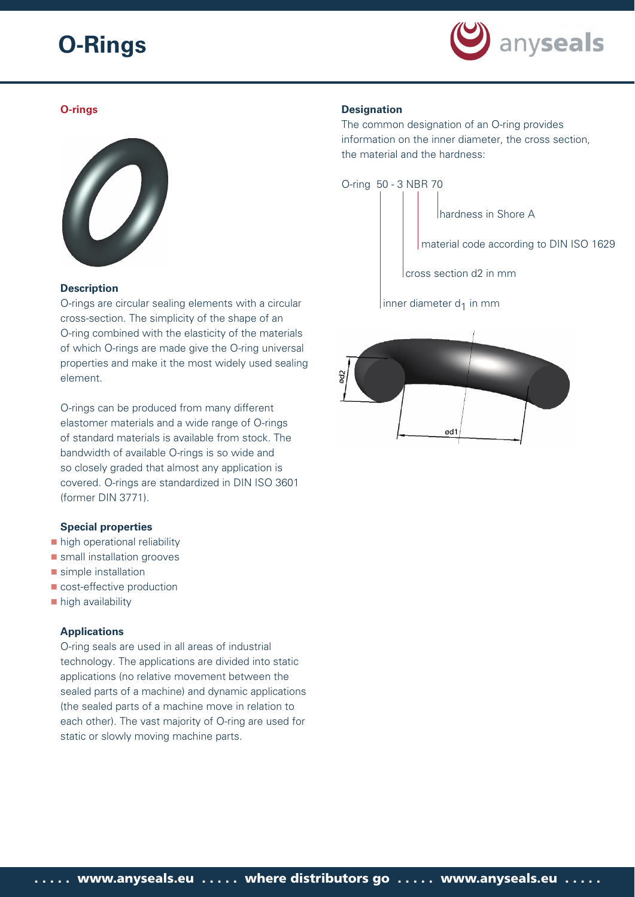

# **O-rings**



### **Description**

O-rings are circular sealing elements with a circular cross-section. The simplicity of the shape of an O-ring combined with the elasticity of the materials of which O-rings are made give the O-ring universal properties and make it the most widely used sealing element.

O-rings can be produced from many different elastomer materials and a wide range of O-rings of standard materials is available from stock. The bandwidth of available O-rings is so wide and so closely graded that almost any application is covered. O-rings are standardized in DIN ISO 3601 (former DIN 3771).

#### **Special properties**

- high operational reliability
- **small installation grooves**
- simple installation
- **cost-effective production**
- high availability

# **Applications**

O-ring seals are used in all areas of industrial technology. The applications are divided into static applications (no relative movement between the sealed parts of a machine) and dynamic applications (the sealed parts of a machine move in relation to each other). The vast majority of O-ring are used for static or slowly moving machine parts.

# **Designation**

The common designation of an O-ring provides information on the inner diameter, the cross section, the material and the hardness:

O-ring 50 - 3 NBR 70

hardness in Shore A

material code according to DIN ISO 1629

cross section d2 in mm

inner diameter  $d_1$  in mm

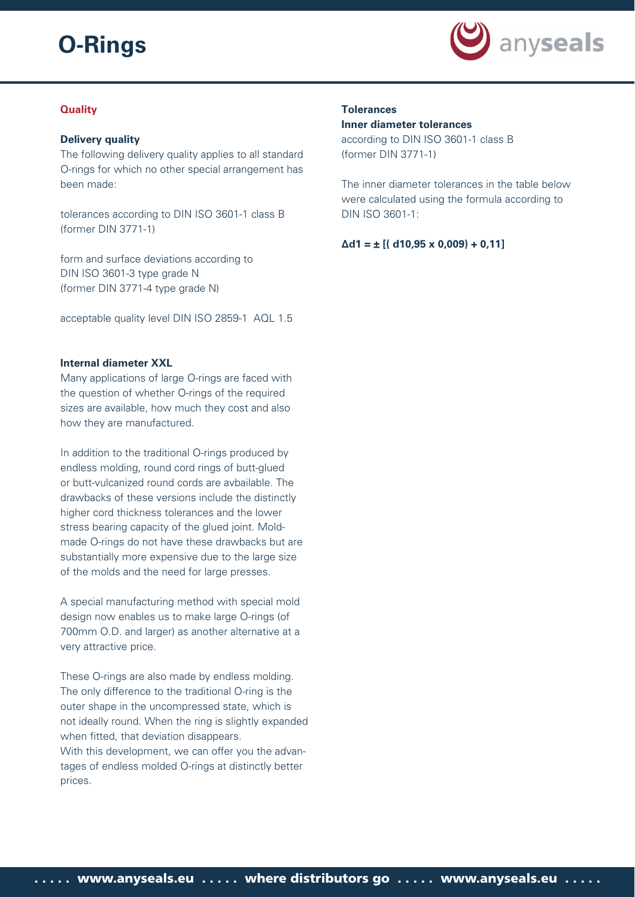

# **Quality**

## **Delivery quality**

The following delivery quality applies to all standard O-rings for which no other special arrangement has been made:

tolerances according to DIN ISO 3601-1 class B (former DIN 3771-1)

form and surface deviations according to DIN ISO 3601-3 type grade N (former DIN 3771-4 type grade N)

acceptable quality level DIN ISO 2859-1 AQL 1.5

### **Internal diameter XXL**

Many applications of large O-rings are faced with the question of whether O-rings of the required sizes are available, how much they cost and also how they are manufactured.

In addition to the traditional O-rings produced by endless molding, round cord rings of butt-glued or butt-vulcanized round cords are avbailable. The drawbacks of these versions include the distinctly higher cord thickness tolerances and the lower stress bearing capacity of the glued joint. Moldmade O-rings do not have these drawbacks but are substantially more expensive due to the large size of the molds and the need for large presses.

A special manufacturing method with special mold design now enables us to make large O-rings (of 700mm O.D. and larger) as another alternative at a very attractive price.

These O-rings are also made by endless molding. The only difference to the traditional O-ring is the outer shape in the uncompressed state, which is not ideally round. When the ring is slightly expanded when fitted, that deviation disappears. With this development, we can offer you the advantages of endless molded O-rings at distinctly better prices.

# **Tolerances**

### **Inner diameter tolerances**

according to DIN ISO 3601-1 class B (former DIN 3771-1)

The inner diameter tolerances in the table below were calculated using the formula according to DIN ISO 3601-1:

**Δd1 = ± [( d10,95 x 0,009) + 0,11]**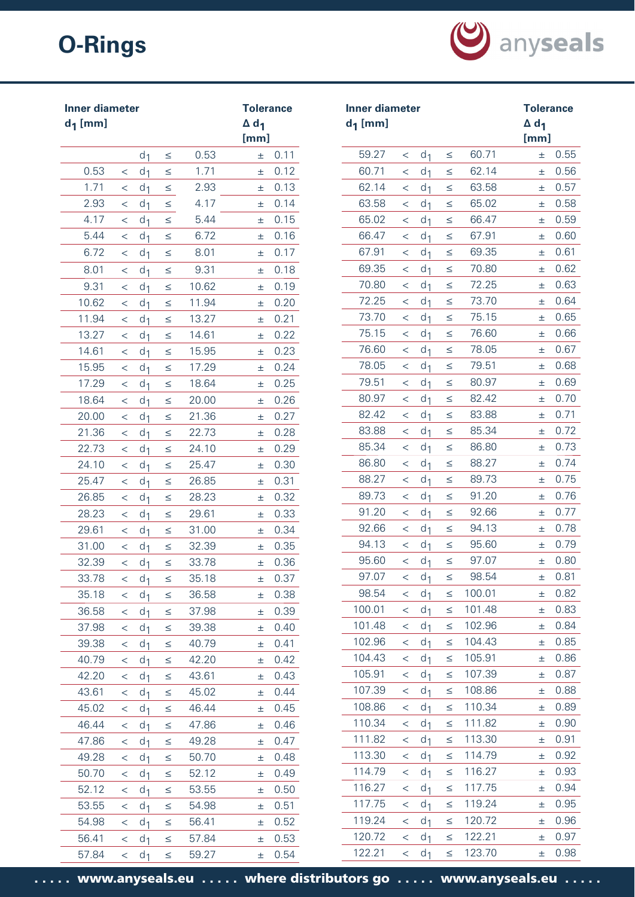

| <b>Inner diameter</b><br>$d_1$ [mm] |         |                |        |       | <b>Tolerance</b><br>$\Delta$ d <sub>1</sub><br>[mm] |      | <b>Inner diameter</b><br>$d_1$ [mm] |         |                |        |        | <b>Tolerance</b><br>$\Delta$ d <sub>1</sub><br>[mm] |      |
|-------------------------------------|---------|----------------|--------|-------|-----------------------------------------------------|------|-------------------------------------|---------|----------------|--------|--------|-----------------------------------------------------|------|
|                                     |         | d <sub>1</sub> | $\leq$ | 0.53  | ±.                                                  | 0.11 | 59.27                               | $\,<\,$ | d <sub>1</sub> | $\leq$ | 60.71  | Ŧ.                                                  | 0.55 |
| 0.53                                | $\,<\,$ | d <sub>1</sub> | $\leq$ | 1.71  | Ŧ                                                   | 0.12 | 60.71                               | $\lt$   | d <sub>1</sub> | $\leq$ | 62.14  | 士                                                   | 0.56 |
| 1.71                                | $\,<\,$ | d <sub>1</sub> | $\leq$ | 2.93  | ±.                                                  | 0.13 | 62.14                               | $\,<\,$ | d <sub>1</sub> | $\leq$ | 63.58  | 士                                                   | 0.57 |
| 2.93                                | $\,<\,$ | d <sub>1</sub> | $\leq$ | 4.17  | 士                                                   | 0.14 | 63.58                               | $\,<\,$ | d <sub>1</sub> | $\leq$ | 65.02  | 士                                                   | 0.58 |
| 4.17                                | $\,<\,$ | d <sub>1</sub> | $\leq$ | 5.44  | Ŧ                                                   | 0.15 | 65.02                               | $\lt$   | d <sub>1</sub> | $\leq$ | 66.47  | 士                                                   | 0.59 |
| 5.44                                | $\,<\,$ | d <sub>1</sub> | $\leq$ | 6.72  | 士                                                   | 0.16 | 66.47                               | $\,<\,$ | d <sub>1</sub> | $\leq$ | 67.91  | 士                                                   | 0.60 |
| 6.72                                | $\,<\,$ | d <sub>1</sub> | $\leq$ | 8.01  | Ŧ                                                   | 0.17 | 67.91                               | $\,<\,$ | d <sub>1</sub> | $\leq$ | 69.35  | 士                                                   | 0.61 |
| 8.01                                | $\,<\,$ | d <sub>1</sub> | $\leq$ | 9.31  | ±.                                                  | 0.18 | 69.35                               | $\,<\,$ | d <sub>1</sub> | $\leq$ | 70.80  | 土                                                   | 0.62 |
| 9.31                                | $\,<\,$ | d <sub>1</sub> | $\leq$ | 10.62 | ±.                                                  | 0.19 | 70.80                               | $\,<\,$ | d <sub>1</sub> | $\leq$ | 72.25  | 士                                                   | 0.63 |
| 10.62                               | $\,<\,$ | d <sub>1</sub> | $\leq$ | 11.94 | 士                                                   | 0.20 | 72.25                               | $\,<\,$ | d <sub>1</sub> | $\leq$ | 73.70  | 土                                                   | 0.64 |
| 11.94                               | $\,<\,$ | d <sub>1</sub> | $\leq$ | 13.27 | 士                                                   | 0.21 | 73.70                               | $\lt$   | d <sub>1</sub> | $\leq$ | 75.15  | 土                                                   | 0.65 |
| 13.27                               | $\,<\,$ | d <sub>1</sub> | $\leq$ | 14.61 | 士                                                   | 0.22 | 75.15                               | $\,<\,$ | d <sub>1</sub> | $\leq$ | 76.60  | 士                                                   | 0.66 |
| 14.61                               | $\,<\,$ | d <sub>1</sub> | $\leq$ | 15.95 | 士                                                   | 0.23 | 76.60                               | $\lt$   | d <sub>1</sub> | $\leq$ | 78.05  | 士                                                   | 0.67 |
| 15.95                               | $\,<\,$ | d <sub>1</sub> | $\leq$ | 17.29 | Ŧ                                                   | 0.24 | 78.05                               | $\,<\,$ | d <sub>1</sub> | $\leq$ | 79.51  | 士                                                   | 0.68 |
| 17.29                               | $\,<\,$ | d <sub>1</sub> | $\leq$ | 18.64 | 士                                                   | 0.25 | 79.51                               | $\,<\,$ | d <sub>1</sub> | $\leq$ | 80.97  | 士                                                   | 0.69 |
| 18.64                               | $\lt$   | d <sub>1</sub> | $\leq$ | 20.00 | Ŧ                                                   | 0.26 | 80.97                               | $\lt$   | d <sub>1</sub> | $\leq$ | 82.42  | 士                                                   | 0.70 |
| 20.00                               | $\,<\,$ | d <sub>1</sub> | $\leq$ | 21.36 | 土                                                   | 0.27 | 82.42                               | $\,<\,$ | d <sub>1</sub> | $\leq$ | 83.88  | 土                                                   | 0.71 |
| 21.36                               | $\lt$   | d <sub>1</sub> | $\leq$ | 22.73 | 士                                                   | 0.28 | 83.88                               | $\,<\,$ | d <sub>1</sub> | $\leq$ | 85.34  | 士                                                   | 0.72 |
| 22.73                               | $\,<\,$ | d <sub>1</sub> | $\leq$ | 24.10 | 士                                                   | 0.29 | 85.34                               | $\,<\,$ | d <sub>1</sub> | $\leq$ | 86.80  | 士                                                   | 0.73 |
| 24.10                               | $\lt$   | d <sub>1</sub> | $\leq$ | 25.47 | 士                                                   | 0.30 | 86.80                               | $\,<\,$ | d <sub>1</sub> | $\leq$ | 88.27  | 士                                                   | 0.74 |
| 25.47                               | $\,<\,$ | d <sub>1</sub> | $\leq$ | 26.85 | Ŧ                                                   | 0.31 | 88.27                               | $\,<\,$ | d <sub>1</sub> | $\leq$ | 89.73  | 士                                                   | 0.75 |
| 26.85                               | $\,<\,$ | d <sub>1</sub> | $\leq$ | 28.23 | 土                                                   | 0.32 | 89.73                               | $\,<\,$ | d <sub>1</sub> | $\leq$ | 91.20  | 士                                                   | 0.76 |
| 28.23                               | $\,<\,$ | d <sub>1</sub> | $\leq$ | 29.61 | 士                                                   | 0.33 | 91.20                               | $\,<\,$ | d <sub>1</sub> | $\leq$ | 92.66  | 土                                                   | 0.77 |
| 29.61                               | $\,<\,$ | d <sub>1</sub> | $\leq$ | 31.00 | 士                                                   | 0.34 | 92.66                               | $\,<\,$ | d <sub>1</sub> | $\leq$ | 94.13  | 士                                                   | 0.78 |
| 31.00                               | $\,<\,$ | d <sub>1</sub> | $\leq$ | 32.39 | 士                                                   | 0.35 | 94.13                               | $\,<\,$ | d <sub>1</sub> | $\leq$ | 95.60  | 士                                                   | 0.79 |
| 32.39                               | $\,<\,$ | d <sub>1</sub> | $\leq$ | 33.78 | 士                                                   | 0.36 | 95.60                               | $\,<\,$ | d <sub>1</sub> | $\leq$ | 97.07  | Ŧ                                                   | 0.80 |
| 33.78                               | $\,<\,$ | d <sub>1</sub> | $\leq$ | 35.18 | 士                                                   | 0.37 | 97.07                               | $\,<\,$ | d <sub>1</sub> | ≤      | 98.54  | 士                                                   | 0.81 |
| 35.18                               | $\lt$   | d <sub>1</sub> | $\leq$ | 36.58 | 士                                                   | 0.38 | 98.54                               | $\lt$   | d <sub>1</sub> | $\leq$ | 100.01 | 士                                                   | 0.82 |
| 36.58                               | $\,<\,$ | d <sub>1</sub> | $\leq$ | 37.98 | 士                                                   | 0.39 | 100.01                              | $\,<\,$ | d <sub>1</sub> | $\leq$ | 101.48 | 士                                                   | 0.83 |
| 37.98                               | $\,<\,$ | d <sub>1</sub> | $\leq$ | 39.38 | 士                                                   | 0.40 | 101.48                              | $\,<\,$ | d <sub>1</sub> | $\leq$ | 102.96 | 士                                                   | 0.84 |
| 39.38                               | $\lt$   | d <sub>1</sub> | $\leq$ | 40.79 | 士                                                   | 0.41 | 102.96                              | $\,<\,$ | d <sub>1</sub> | ≤      | 104.43 | 士                                                   | 0.85 |
| 40.79                               | $\,<\,$ | d <sub>1</sub> | $\leq$ | 42.20 | 士                                                   | 0.42 | 104.43                              | $\,<\,$ | d <sub>1</sub> | $\leq$ | 105.91 | 士                                                   | 0.86 |
| 42.20                               | $\lt$   | d <sub>1</sub> | $\leq$ | 43.61 | 士                                                   | 0.43 | 105.91                              | $\,<\,$ | d <sub>1</sub> | $\leq$ | 107.39 | 士                                                   | 0.87 |
| 43.61                               | $\,<\,$ | d <sub>1</sub> | $\leq$ | 45.02 | 士                                                   | 0.44 | 107.39                              | $\,<\,$ | d <sub>1</sub> | $\leq$ | 108.86 | 士                                                   | 0.88 |
| 45.02                               | $\lt$   | d <sub>1</sub> | $\leq$ | 46.44 | 士                                                   | 0.45 | 108.86                              | $\,<\,$ | d <sub>1</sub> | $\leq$ | 110.34 | 士                                                   | 0.89 |
| 46.44                               | $\,<\,$ | d <sub>1</sub> | $\leq$ | 47.86 | 士                                                   | 0.46 | 110.34                              | $\,<\,$ | d <sub>1</sub> | $\leq$ | 111.82 | 士                                                   | 0.90 |
| 47.86                               | $\lt$   | d <sub>1</sub> | $\leq$ | 49.28 | 士                                                   | 0.47 | 111.82                              | $\,<\,$ | d <sub>1</sub> | $\leq$ | 113.30 | 士                                                   | 0.91 |
| 49.28                               | $\,<$   | d <sub>1</sub> | $\leq$ | 50.70 | $\pm$                                               | 0.48 | 113.30                              | $\,<\,$ | d <sub>1</sub> | $\leq$ | 114.79 | 士                                                   | 0.92 |
| 50.70                               | $\lt$   | d <sub>1</sub> | $\leq$ | 52.12 | 士                                                   | 0.49 | 114.79                              | $\,<\,$ | d <sub>1</sub> | $\leq$ | 116.27 | 士                                                   | 0.93 |
| 52.12                               | $\,<\,$ | d <sub>1</sub> | $\leq$ | 53.55 | 士                                                   | 0.50 | 116.27                              | $\,<\,$ | d <sub>1</sub> | $\leq$ | 117.75 | 士                                                   | 0.94 |
| 53.55                               | $\,<\,$ | d <sub>1</sub> | $\leq$ | 54.98 | 士                                                   | 0.51 | 117.75                              | $\lt$   | d <sub>1</sub> | $\leq$ | 119.24 | 士                                                   | 0.95 |
| 54.98                               | $\lt$   | d <sub>1</sub> | $\leq$ | 56.41 | 土                                                   | 0.52 | 119.24                              | $\,<\,$ | d <sub>1</sub> | $\leq$ | 120.72 | 士                                                   | 0.96 |
| 56.41                               | $\,<\,$ | d <sub>1</sub> | $\leq$ | 57.84 | 土                                                   | 0.53 | 120.72                              | $\,<\,$ | d <sub>1</sub> | $\leq$ | 122.21 | Ŧ.                                                  | 0.97 |
| 57.84                               | $\lt$   | d <sub>1</sub> | $\leq$ | 59.27 | 土                                                   | 0.54 | 122.21                              | $\,<\,$ | d <sub>1</sub> | $\leq$ | 123.70 | 士                                                   | 0.98 |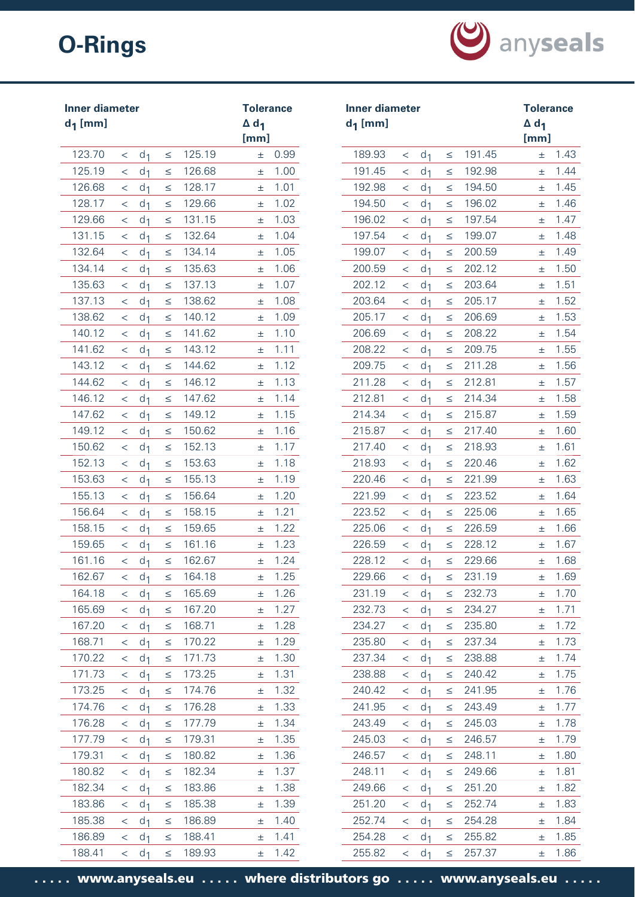

| Inner diameter<br>$d_1$ [mm] |                          |                                  |                  |                  | <b>Tolerance</b><br>$\Delta$ d <sub>1</sub><br>[mm] |              | <b>Inner diameter</b><br>$d_1$ [mm] |                    |                                  |                  |                  | <b>Tolerance</b><br>$\Delta$ d <sub>1</sub><br>[mm] |              |
|------------------------------|--------------------------|----------------------------------|------------------|------------------|-----------------------------------------------------|--------------|-------------------------------------|--------------------|----------------------------------|------------------|------------------|-----------------------------------------------------|--------------|
| 123.70                       | $\,<\,$                  | d <sub>1</sub>                   | $\leq$           | 125.19           | ±.                                                  | 0.99         | 189.93                              | $\lt$              | d <sub>1</sub>                   | $\leq$           | 191.45           | Ŧ.                                                  | 1.43         |
| 125.19                       | $\,<\,$                  | d <sub>1</sub>                   | $\leq$           | 126.68           | ±.                                                  | 1.00         | 191.45                              | $\lt$              | d <sub>1</sub>                   | $\leq$           | 192.98           | 士                                                   | 1.44         |
| 126.68                       | $\,<\,$                  | d <sub>1</sub>                   | $\leq$           | 128.17           | 士                                                   | 1.01         | 192.98                              | $\,<\,$            | d <sub>1</sub>                   | $\leq$           | 194.50           | 士                                                   | 1.45         |
| 128.17                       | $\,<\,$                  | d <sub>1</sub>                   | $\leq$           | 129.66           | 士                                                   | 1.02         | 194.50                              | $\,<\,$            | d <sub>1</sub>                   | $\leq$           | 196.02           | 士                                                   | 1.46         |
| 129.66                       | $\,<\,$                  | d <sub>1</sub>                   | $\leq$           | 131.15           | 士                                                   | 1.03         | 196.02                              | $\,<\,$            | d <sub>1</sub>                   | ≤                | 197.54           | 土                                                   | 1.47         |
| 131.15                       | $\,<\,$                  | d <sub>1</sub>                   | $\leq$           | 132.64           | 士                                                   | 1.04         | 197.54                              | $\,<\,$            | d <sub>1</sub>                   | $\leq$           | 199.07           | 士                                                   | 1.48         |
| 132.64                       | $\,<\,$                  | d <sub>1</sub>                   | $\leq$           | 134.14           | Ŧ                                                   | 1.05         | 199.07                              | $\,<\,$            | d <sub>1</sub>                   | $\leq$           | 200.59           | Ŧ.                                                  | 1.49         |
| 134.14                       | $\,<\,$                  | d <sub>1</sub>                   | $\leq$           | 135.63           | 士                                                   | 1.06         | 200.59                              | $\,<\,$            | d <sub>1</sub>                   | $\leq$           | 202.12           | 士                                                   | 1.50         |
| 135.63                       | $\,<\,$                  | d <sub>1</sub>                   | $\leq$           | 137.13           | 土                                                   | 1.07         | 202.12                              | $\,<\,$            | d <sub>1</sub>                   | $\leq$           | 203.64           | 士                                                   | 1.51         |
| 137.13                       | $\,<\,$                  | d <sub>1</sub>                   | $\leq$           | 138.62           | 士                                                   | 1.08         | 203.64                              | $\,<\,$            | d <sub>1</sub>                   | ≤                | 205.17           | 士                                                   | 1.52         |
| 138.62                       | $\,<\,$                  | d <sub>1</sub>                   | $\leq$           | 140.12           | Ŧ                                                   | 1.09         | 205.17                              | $\lt$              | d <sub>1</sub>                   | $\leq$           | 206.69           | Ŧ.                                                  | 1.53         |
| 140.12                       | $\,<\,$                  | d <sub>1</sub>                   | $\leq$           | 141.62           | Ŧ                                                   | 1.10         | 206.69                              | $\,<\,$            | d <sub>1</sub>                   | $\leq$           | 208.22           | Ŧ.                                                  | 1.54         |
| 141.62                       | $\lt$                    | d <sub>1</sub>                   | $\leq$           | 143.12           | 士                                                   | 1.11         | 208.22                              | $\lt$              | d <sub>1</sub>                   | $\leq$           | 209.75           | 士                                                   | 1.55         |
| 143.12                       | $\,<\,$                  | d <sub>1</sub>                   | $\leq$           | 144.62           | Ŧ                                                   | 1.12         | 209.75                              | $\lt$              | d <sub>1</sub>                   | $\leq$           | 211.28           | Ŧ.                                                  | 1.56         |
| 144.62                       | $\,<\,$                  | d <sub>1</sub>                   | $\leq$           | 146.12           | 土                                                   | 1.13         | 211.28                              | $\,<\,$            | d <sub>1</sub>                   | $\leq$           | 212.81           | 土                                                   | 1.57         |
| 146.12                       | $\,<\,$                  | d <sub>1</sub>                   | $\leq$           | 147.62           | Ŧ                                                   | 1.14         | 212.81                              | $\lt$              | d <sub>1</sub>                   | $\leq$           | 214.34           | 士                                                   | 1.58         |
| 147.62                       | $\,<\,$                  | d <sub>1</sub>                   | $\leq$           | 149.12           | 士                                                   | 1.15         | 214.34                              | $\,<\,$            | d <sub>1</sub>                   | $\leq$           | 215.87           | 士                                                   | 1.59         |
| 149.12                       | $\,<\,$                  | d <sub>1</sub>                   | $\leq$           | 150.62           | 士                                                   | 1.16         | 215.87                              | $\,<\,$            | d <sub>1</sub>                   | $\leq$           | 217.40           | 士                                                   | 1.60         |
| 150.62                       | $\,<\,$                  | d <sub>1</sub>                   | $\leq$           | 152.13           | 士                                                   | 1.17         | 217.40                              | $\,<\,$            | d <sub>1</sub>                   | $\leq$           | 218.93           | 士                                                   | 1.61         |
| 152.13                       | $\,<\,$                  | d <sub>1</sub>                   | $\leq$           | 153.63           | 士                                                   | 1.18         | 218.93                              | $\,<\,$            | d <sub>1</sub>                   | $\leq$           | 220.46           | 士                                                   | 1.62         |
| 153.63                       | $\,<\,$                  | d <sub>1</sub>                   | $\leq$           | 155.13           | 士                                                   | 1.19         | 220.46                              | $\,<\,$            | d <sub>1</sub>                   | $\leq$           | 221.99           | 士                                                   | 1.63         |
| 155.13                       | $\,<\,$                  | d <sub>1</sub>                   | $\leq$           | 156.64           | 土                                                   | 1.20         | 221.99                              | $\lt$              | d <sub>1</sub>                   | $\leq$           | 223.52           | 士                                                   | 1.64         |
| 156.64                       | $\,<\,$                  | d <sub>1</sub>                   | $\leq$           | 158.15           | 士                                                   | 1.21         | 223.52                              | $\,<\,$            | d <sub>1</sub>                   | ≤                | 225.06           | 士                                                   | 1.65         |
| 158.15                       | $\lt$                    | d <sub>1</sub>                   | $\leq$           | 159.65           | 士                                                   | 1.22         | 225.06                              | $\lt$              | d <sub>1</sub>                   | $\leq$           | 226.59           | 士                                                   | 1.66         |
| 159.65                       | $\,<\,$                  | d <sub>1</sub>                   | $\leq$           | 161.16           | Ŧ                                                   | 1.23         | 226.59                              | $\,<\,$            | d <sub>1</sub>                   | $\leq$           | 228.12           | Ŧ                                                   | 1.67         |
| 161.16                       | $\,<\,$                  | d <sub>1</sub>                   | $\leq$           | 162.67           | ±.                                                  | 1.24         | 228.12                              | $\,<\,$            | d <sub>1</sub>                   | $\leq$           | 229.66           | 士                                                   | 1.68         |
| 162.67                       | $\,<\,$                  | d <sub>1</sub>                   | $\leq$           | 164.18           | 土                                                   | 1.25         | 229.66                              | $\,<\,$            | d <sub>1</sub>                   | $\leq$           | 231.19           | 士                                                   | 1.69         |
| 164.18                       | $\lt$                    | d <sub>1</sub>                   | $\leq$           | 165.69           | 士                                                   | 1.26<br>1.27 | 231.19                              | $\,<\,$            | d <sub>1</sub>                   | $\leq$           | 232.73           | Ŧ                                                   | 1.70         |
| 165.69<br>167.20             | $\,<\,$                  | d <sub>1</sub>                   | $\leq$           | 167.20<br>168.71 | 士                                                   | 1.28         | 232.73                              | $\,<\,$            | d <sub>1</sub>                   | $\leq$           | 234.27<br>235.80 | 土                                                   | 1.71         |
| 168.71                       | $\lt$<br>$\,<\,$         | d <sub>1</sub><br>d <sub>1</sub> | $\leq$<br>$\leq$ | 170.22           | $\pm$<br>$\pm$                                      | 1.29         | 234.27<br>235.80                    | $\,<\,$<br>$\,<\,$ | d <sub>1</sub>                   | $\leq$<br>$\leq$ | 237.34           | 士                                                   | 1.72<br>1.73 |
| 170.22                       | $\lt$                    | d <sub>1</sub>                   | $\leq$           | 171.73           | 士                                                   | 1.30         | 237.34                              | $\,<\,$            | d <sub>1</sub><br>d <sub>1</sub> | $\leq$           | 238.88           | 土<br>士                                              | 1.74         |
| 171.73                       | $\,<\,$                  | d <sub>1</sub>                   | $\leq$           | 173.25           | 士                                                   | 1.31         | 238.88                              | $\,<\,$            | d <sub>1</sub>                   | $\leq$           | 240.42           | 土                                                   | 1.75         |
| 173.25                       | $\,<\,$                  | d <sub>1</sub>                   | $\leq$           | 174.76           | 士                                                   | 1.32         | 240.42                              | $\,<\,$            | d <sub>1</sub>                   | $\leq$           | 241.95           | 士                                                   | 1.76         |
| 174.76                       | $\lt$                    | d <sub>1</sub>                   | $\leq$           | 176.28           | 士                                                   | 1.33         | 241.95                              | $\,<\,$            | d <sub>1</sub>                   | $\leq$           | 243.49           | 士                                                   | 1.77         |
| 176.28                       | $\,<\,$                  | d <sub>1</sub>                   | $\leq$           | 177.79           | 士                                                   | 1.34         | 243.49                              | $\,<\,$            | d <sub>1</sub>                   | $\leq$           | 245.03           | Ŧ.                                                  | 1.78         |
| 177.79                       | $\lt$                    | d <sub>1</sub>                   | $\leq$           | 179.31           | 士                                                   | 1.35         | 245.03                              | $\,<\,$            | d <sub>1</sub>                   | $\leq$           | 246.57           | 士                                                   | 1.79         |
| 179.31                       | $\,<\,$                  | d <sub>1</sub>                   | $\leq$           | 180.82           | 士                                                   | 1.36         | 246.57                              | $\lt$              | d <sub>1</sub>                   | $\leq$           | 248.11           | Ŧ.                                                  | 1.80         |
| 180.82                       | $\overline{\phantom{0}}$ | d <sub>1</sub>                   | $\leq$           | 182.34           | 士                                                   | 1.37         | 248.11                              | $\,<\,$            | d <sub>1</sub>                   | $\leq$           | 249.66           | 士                                                   | 1.81         |
| 182.34                       | $\,<\,$                  | d <sub>1</sub>                   | $\leq$           | 183.86           | 士                                                   | 1.38         | 249.66                              | $\,<\,$            | d <sub>1</sub>                   | $\leq$           | 251.20           | 士                                                   | 1.82         |
| 183.86                       | $\lt$                    | d <sub>1</sub>                   | $\leq$           | 185.38           | 士                                                   | 1.39         | 251.20                              | $\,<\,$            | d <sub>1</sub>                   | $\leq$           | 252.74           | Ŧ.                                                  | 1.83         |
| 185.38                       | $\,<\,$                  | d <sub>1</sub>                   | $\leq$           | 186.89           | 士                                                   | 1.40         | 252.74                              | $\,<\,$            | d <sub>1</sub>                   | $\leq$           | 254.28           | 士                                                   | 1.84         |
| 186.89                       | $\overline{\phantom{0}}$ | d <sub>1</sub>                   | $\leq$           | 188.41           | 士                                                   | 1.41         | 254.28                              | $\,<\,$            | d <sub>1</sub>                   | $\leq$           | 255.82           | Ŧ.                                                  | 1.85         |
| 188.41                       | $\lt$                    | d <sub>1</sub>                   | $\leq$           | 189.93           | 士                                                   | 1.42         | 255.82                              | $\,<\,$            | d <sub>1</sub>                   | $\leq$           | 257.37           | 土                                                   | 1.86         |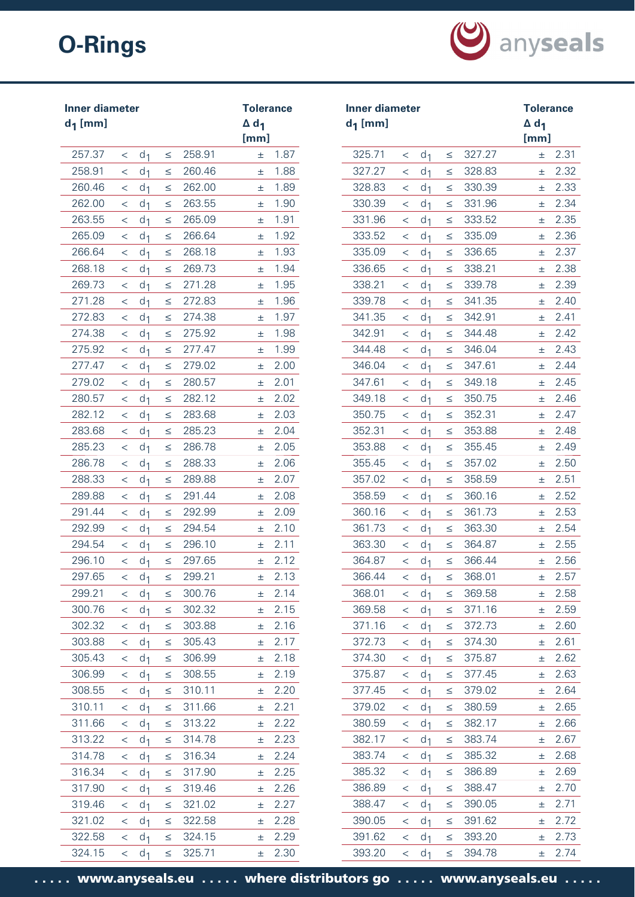

| <b>Inner diameter</b><br>$d_1$ [mm] |                          |                |        |        | <b>Tolerance</b><br>$\Delta$ d <sub>1</sub><br>[mm] |      | <b>Inner diameter</b><br>$d_1$ [mm] |                          | $\Delta$ d <sub>1</sub> | <b>Tolerance</b><br>[mm] |        |       |      |
|-------------------------------------|--------------------------|----------------|--------|--------|-----------------------------------------------------|------|-------------------------------------|--------------------------|-------------------------|--------------------------|--------|-------|------|
| 257.37                              | $\lt$                    | d <sub>1</sub> | $\leq$ | 258.91 | Ŧ.                                                  | 1.87 | 325.71                              | $\,<\,$                  | d <sub>1</sub>          | $\leq$                   | 327.27 | ±.    | 2.31 |
| 258.91                              | $\lt$                    | d <sub>1</sub> | $\leq$ | 260.46 | 士                                                   | 1.88 | 327.27                              | $\,<\,$                  | d <sub>1</sub>          | $\leq$                   | 328.83 | 士     | 2.32 |
| 260.46                              | $\lt$                    | d <sub>1</sub> | $\leq$ | 262.00 | Ŧ.                                                  | 1.89 | 328.83                              | $\,<$                    | d <sub>1</sub>          | $\leq$                   | 330.39 | 士     | 2.33 |
| 262.00                              | $\,<\,$                  | d <sub>1</sub> | $\leq$ | 263.55 | 士                                                   | 1.90 | 330.39                              | $\,<\,$                  | d <sub>1</sub>          | $\leq$                   | 331.96 | 土     | 2.34 |
| 263.55                              | $\,<\,$                  | d <sub>1</sub> | $\leq$ | 265.09 | 士                                                   | 1.91 | 331.96                              | $\,<\,$                  | d <sub>1</sub>          | $\leq$                   | 333.52 | 土     | 2.35 |
| 265.09                              | $\,<\,$                  | d <sub>1</sub> | $\leq$ | 266.64 | 士                                                   | 1.92 | 333.52                              | $\,<\,$                  | d <sub>1</sub>          | $\leq$                   | 335.09 | 土     | 2.36 |
| 266.64                              | $\,<\,$                  | d <sub>1</sub> | $\leq$ | 268.18 | Ŧ                                                   | 1.93 | 335.09                              | $\,<$                    | d <sub>1</sub>          | $\leq$                   | 336.65 | 士     | 2.37 |
| 268.18                              | $\,<\,$                  | d <sub>1</sub> | $\leq$ | 269.73 | 士                                                   | 1.94 | 336.65                              | $\,<\,$                  | d <sub>1</sub>          | $\leq$                   | 338.21 | 土     | 2.38 |
| 269.73                              | $\,<\,$                  | d <sub>1</sub> | $\leq$ | 271.28 | 士                                                   | 1.95 | 338.21                              | $\,<$                    | d <sub>1</sub>          | $\leq$                   | 339.78 | 土     | 2.39 |
| 271.28                              | $\,<\,$                  | d <sub>1</sub> | $\leq$ | 272.83 | 土                                                   | 1.96 | 339.78                              | $\,<$                    | d <sub>1</sub>          | $\leq$                   | 341.35 | 土     | 2.40 |
| 272.83                              | $\,<\,$                  | d <sub>1</sub> | $\leq$ | 274.38 | Ŧ                                                   | 1.97 | 341.35                              | $\,<\,$                  | d <sub>1</sub>          | $\leq$                   | 342.91 | 士     | 2.41 |
| 274.38                              | $\,<\,$                  | d <sub>1</sub> | $\leq$ | 275.92 | 士                                                   | 1.98 | 342.91                              | $\,<$                    | d <sub>1</sub>          | $\leq$                   | 344.48 | 士     | 2.42 |
| 275.92                              | $\lt$                    | d <sub>1</sub> | $\leq$ | 277.47 | 士                                                   | 1.99 | 344.48                              | $\,<\,$                  | d <sub>1</sub>          | $\leq$                   | 346.04 | 士     | 2.43 |
| 277.47                              | $\,<\,$                  | d <sub>1</sub> | $\leq$ | 279.02 | 士                                                   | 2.00 | 346.04                              | $\,<\,$                  | d <sub>1</sub>          | $\leq$                   | 347.61 | 士     | 2.44 |
| 279.02                              | $\,<\,$                  | d <sub>1</sub> | $\leq$ | 280.57 | 士                                                   | 2.01 | 347.61                              | $\lt$                    | d <sub>1</sub>          | $\leq$                   | 349.18 | 士     | 2.45 |
| 280.57                              | $\lt$                    | d <sub>1</sub> | $\leq$ | 282.12 | 士                                                   | 2.02 | 349.18                              | $\,<\,$                  | d <sub>1</sub>          | $\leq$                   | 350.75 | 土     | 2.46 |
| 282.12                              | $\,<\,$                  | d <sub>1</sub> | $\leq$ | 283.68 | 土                                                   | 2.03 | 350.75                              | $\,<\,$                  | d <sub>1</sub>          | $\leq$                   | 352.31 | 土     | 2.47 |
| 283.68                              | $\,<\,$                  | d <sub>1</sub> | $\leq$ | 285.23 | 士                                                   | 2.04 | 352.31                              | $\,<$                    | d <sub>1</sub>          | $\leq$                   | 353.88 | 土     | 2.48 |
| 285.23                              | $\,<\,$                  | d <sub>1</sub> | $\leq$ | 286.78 | 士                                                   | 2.05 | 353.88                              | $\,<\,$                  | d <sub>1</sub>          | $\leq$                   | 355.45 | 士     | 2.49 |
| 286.78                              | $\,<\,$                  | d <sub>1</sub> | $\leq$ | 288.33 | Ŧ                                                   | 2.06 | 355.45                              | $\,<$                    | d <sub>1</sub>          | $\leq$                   | 357.02 | 士     | 2.50 |
| 288.33                              | $\,<\,$                  | d <sub>1</sub> | $\leq$ | 289.88 | 士                                                   | 2.07 | 357.02                              | $\,<\,$                  | d <sub>1</sub>          | $\leq$                   | 358.59 | 士     | 2.51 |
| 289.88                              | $\,<\,$                  | d <sub>1</sub> | $\leq$ | 291.44 | Ŧ                                                   | 2.08 | 358.59                              | $\,<$                    | d <sub>1</sub>          | $\leq$                   | 360.16 | 士     | 2.52 |
| 291.44                              | $\,<\,$                  | d <sub>1</sub> | $\leq$ | 292.99 | 土                                                   | 2.09 | 360.16                              | $\,<\,$                  | d <sub>1</sub>          | ≤                        | 361.73 | 土     | 2.53 |
| 292.99                              | $\lt$                    | d <sub>1</sub> | $\leq$ | 294.54 | 士                                                   | 2.10 | 361.73                              | $\,<\,$                  | d <sub>1</sub>          | $\leq$                   | 363.30 | 土     | 2.54 |
| 294.54                              | $\,<\,$                  | d <sub>1</sub> | $\leq$ | 296.10 | 士                                                   | 2.11 | 363.30                              | $\,<$                    | d <sub>1</sub>          | ≤                        | 364.87 | 土     | 2.55 |
| 296.10                              | $\lt$                    | d <sub>1</sub> | $\leq$ | 297.65 | Ŧ                                                   | 2.12 | 364.87                              | $\,<\,$                  | d <sub>1</sub>          | $\leq$                   | 366.44 | 士     | 2.56 |
| 297.65                              | $\,<\,$                  | d <sub>1</sub> | $\leq$ | 299.21 | 士                                                   | 2.13 | 366.44                              | $\,<\,$                  | d <sub>1</sub>          | $\leq$                   | 368.01 | 士     | 2.57 |
| 299.21                              | $\overline{\phantom{0}}$ | d <sub>1</sub> | $\leq$ | 300.76 | 士                                                   | 2.14 | 368.01                              | $\overline{\phantom{0}}$ | d <sub>1</sub>          | $\leq$                   | 369.58 | $\pm$ | 2.58 |
| 300.76                              | $\,<\,$                  | d <sub>1</sub> | $\leq$ | 302.32 | 土                                                   | 2.15 | 369.58                              | $\,<\,$                  | d <sub>1</sub>          | $\leq$                   | 371.16 | 土     | 2.59 |
| 302.32                              | $\,<\,$                  | d <sub>1</sub> | $\leq$ | 303.88 | Ŧ.                                                  | 2.16 | 371.16                              | $\,<\,$                  | d <sub>1</sub>          | $\leq$                   | 372.73 | 士     | 2.60 |
| 303.88                              | $\,<\,$                  | d <sub>1</sub> | $\leq$ | 305.43 | ±.                                                  | 2.17 | 372.73                              | $\,<\,$                  | d <sub>1</sub>          | $\leq$                   | 374.30 | 土     | 2.61 |
| 305.43                              | $\lt$                    | d <sub>1</sub> | $\leq$ | 306.99 | Ŧ.                                                  | 2.18 | 374.30                              | $\,<\,$                  | d <sub>1</sub>          | $\leq$                   | 375.87 | 土     | 2.62 |
| 306.99                              | $\,<\,$                  | d <sub>1</sub> | $\leq$ | 308.55 | ±.                                                  | 2.19 | 375.87                              | $\,<\,$                  | d <sub>1</sub>          | $\leq$                   | 377.45 | 士     | 2.63 |
| 308.55                              | $\,<\,$                  | d <sub>1</sub> | $\leq$ | 310.11 | 士                                                   | 2.20 | 377.45                              | $\,<\,$                  | d <sub>1</sub>          | $\leq$                   | 379.02 | 土     | 2.64 |
| 310.11                              | $\leq$                   | d <sub>1</sub> | $\leq$ | 311.66 | Ŧ.                                                  | 2.21 | 379.02                              | $\,<\,$                  | d <sub>1</sub>          | $\leq$                   | 380.59 | 土     | 2.65 |
| 311.66                              | $\overline{\phantom{0}}$ | d <sub>1</sub> | $\leq$ | 313.22 | 土                                                   | 2.22 | 380.59                              | $\leq$                   | d <sub>1</sub>          | $\leq$                   | 382.17 | 土     | 2.66 |
| 313.22                              | $\lt$                    | d <sub>1</sub> | $\leq$ | 314.78 | 土                                                   | 2.23 | 382.17                              | $\lt$                    | d <sub>1</sub>          | $\leq$                   | 383.74 | 士     | 2.67 |
| 314.78                              | $\lt$                    | d <sub>1</sub> | $\leq$ | 316.34 | ±.                                                  | 2.24 | 383.74                              | $\,<\,$                  | d <sub>1</sub>          | $\leq$                   | 385.32 | 土     | 2.68 |
| 316.34                              | $\lt$                    | d <sub>1</sub> | $\leq$ | 317.90 | 士                                                   | 2.25 | 385.32                              | $\lt$                    | d <sub>1</sub>          | $\leq$                   | 386.89 | 土     | 2.69 |
| 317.90                              | $\,<\,$                  | d <sub>1</sub> | $\leq$ | 319.46 | 士                                                   | 2.26 | 386.89                              | $\,<\,$                  | d <sub>1</sub>          | $\leq$                   | 388.47 | 土     | 2.70 |
| 319.46                              | $\leq$                   | d <sub>1</sub> | $\leq$ | 321.02 | Ŧ.                                                  | 2.27 | 388.47                              | $\,<\,$                  | d <sub>1</sub>          | $\leq$                   | 390.05 | 土     | 2.71 |
| 321.02                              | $\,<\,$                  | d <sub>1</sub> | $\leq$ | 322.58 | 士                                                   | 2.28 | 390.05                              | $\,<\,$                  | d <sub>1</sub>          | $\leq$                   | 391.62 | 土     | 2.72 |
| 322.58                              | $\overline{\phantom{0}}$ | d <sub>1</sub> | $\leq$ | 324.15 | Ŧ.                                                  | 2.29 | 391.62                              | $\leq$                   | d <sub>1</sub>          | $\leq$                   | 393.20 | 士     | 2.73 |
| 324.15                              | $\lt$                    | d <sub>1</sub> | $\leq$ | 325.71 | 土                                                   | 2.30 | 393.20                              | $\lt$                    | d <sub>1</sub>          | $\leq$                   | 394.78 | 士     | 2.74 |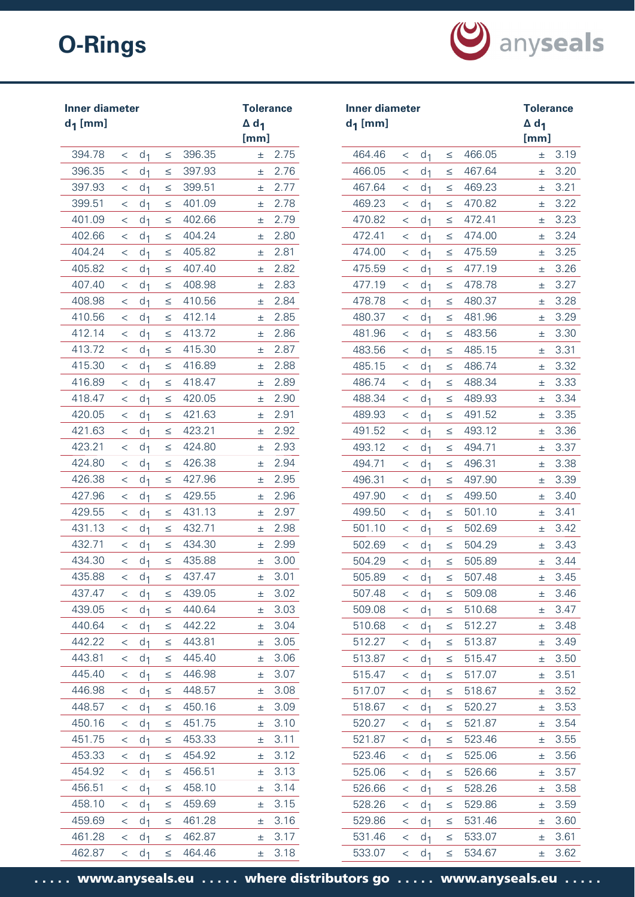

| <b>Inner diameter</b><br>$d_1$ [mm] |                          |                |        |        | <b>Tolerance</b><br>$\Delta$ d <sub>1</sub><br>[mm] |      | $d_1$ [mm] | <b>Inner diameter</b> |                |        |        | <b>Tolerance</b><br>$\Delta$ d <sub>1</sub><br>[mm] |      |
|-------------------------------------|--------------------------|----------------|--------|--------|-----------------------------------------------------|------|------------|-----------------------|----------------|--------|--------|-----------------------------------------------------|------|
| 394.78                              | $\,<\,$                  | d <sub>1</sub> | $\leq$ | 396.35 | ±.                                                  | 2.75 | 464.46     | $\lt$                 | d <sub>1</sub> | $\leq$ | 466.05 | ±.                                                  | 3.19 |
| 396.35                              | $\,<\,$                  | d <sub>1</sub> | $\leq$ | 397.93 | 士                                                   | 2.76 | 466.05     | $\lt$                 | d <sub>1</sub> | $\leq$ | 467.64 | 士                                                   | 3.20 |
| 397.93                              | $\,<\,$                  | d <sub>1</sub> | $\leq$ | 399.51 | 士                                                   | 2.77 | 467.64     | $\lt$                 | d <sub>1</sub> | $\leq$ | 469.23 | Ŧ.                                                  | 3.21 |
| 399.51                              | $\,<\,$                  | d <sub>1</sub> | $\leq$ | 401.09 | 士                                                   | 2.78 | 469.23     | $\,<\,$               | d <sub>1</sub> | $\leq$ | 470.82 | 土                                                   | 3.22 |
| 401.09                              | $\,<\,$                  | d <sub>1</sub> | $\leq$ | 402.66 | 士                                                   | 2.79 | 470.82     | $\lt$                 | d <sub>1</sub> | $\leq$ | 472.41 | 土                                                   | 3.23 |
| 402.66                              | $\,<\,$                  | d <sub>1</sub> | $\leq$ | 404.24 | 士                                                   | 2.80 | 472.41     | $\,<\,$               | d <sub>1</sub> | $\leq$ | 474.00 | 土                                                   | 3.24 |
| 404.24                              | $\,<\,$                  | d <sub>1</sub> | $\leq$ | 405.82 | 土                                                   | 2.81 | 474.00     | $\lt$                 | d <sub>1</sub> | $\leq$ | 475.59 | 士                                                   | 3.25 |
| 405.82                              | $\,<\,$                  | d <sub>1</sub> | $\leq$ | 407.40 | 士                                                   | 2.82 | 475.59     | $\,<\,$               | d <sub>1</sub> | $\leq$ | 477.19 | Ŧ.                                                  | 3.26 |
| 407.40                              | $\,<\,$                  | d <sub>1</sub> | $\leq$ | 408.98 | Ŧ                                                   | 2.83 | 477.19     | $\,<\,$               | d <sub>1</sub> | $\leq$ | 478.78 | Ŧ.                                                  | 3.27 |
| 408.98                              | $\,<\,$                  | d <sub>1</sub> | $\leq$ | 410.56 | 士                                                   | 2.84 | 478.78     | $\,<\,$               | d <sub>1</sub> | $\leq$ | 480.37 | Ŧ.                                                  | 3.28 |
| 410.56                              | $\,<\,$                  | d <sub>1</sub> | $\leq$ | 412.14 | 士                                                   | 2.85 | 480.37     | $\lt$                 | d <sub>1</sub> | $\leq$ | 481.96 | ±.                                                  | 3.29 |
| 412.14                              | $\,<\,$                  | d <sub>1</sub> | $\leq$ | 413.72 | 土                                                   | 2.86 | 481.96     | $\,<\,$               | d <sub>1</sub> | ≤      | 483.56 | 士                                                   | 3.30 |
| 413.72                              | $\lt$                    | d <sub>1</sub> | $\leq$ | 415.30 | Ŧ                                                   | 2.87 | 483.56     | $\lt$                 | d <sub>1</sub> | $\leq$ | 485.15 | 士                                                   | 3.31 |
| 415.30                              | $\,<\,$                  | d <sub>1</sub> | $\leq$ | 416.89 | Ŧ                                                   | 2.88 | 485.15     | $\lt$                 | d <sub>1</sub> | $\leq$ | 486.74 | Ŧ.                                                  | 3.32 |
| 416.89                              | $\,<\,$                  | d <sub>1</sub> | $\leq$ | 418.47 | 士                                                   | 2.89 | 486.74     | $\,<\,$               | d <sub>1</sub> | $\leq$ | 488.34 | Ŧ.                                                  | 3.33 |
| 418.47                              | $\,<\,$                  | d <sub>1</sub> | $\leq$ | 420.05 | 士                                                   | 2.90 | 488.34     | $\lt$                 | d <sub>1</sub> | $\leq$ | 489.93 | 土                                                   | 3.34 |
| 420.05                              | $\,<\,$                  | d <sub>1</sub> | $\leq$ | 421.63 | 士                                                   | 2.91 | 489.93     | $\,<\,$               | d <sub>1</sub> | $\leq$ | 491.52 | 土                                                   | 3.35 |
| 421.63                              | $\,<\,$                  | d <sub>1</sub> | $\leq$ | 423.21 | 士                                                   | 2.92 | 491.52     | $\,<\,$               | d <sub>1</sub> | $\leq$ | 493.12 | 士                                                   | 3.36 |
| 423.21                              | $\,<\,$                  | d <sub>1</sub> | $\leq$ | 424.80 | 士                                                   | 2.93 | 493.12     | $\,<\,$               | d <sub>1</sub> | $\leq$ | 494.71 | 士                                                   | 3.37 |
| 424.80                              | $\,<\,$                  | d <sub>1</sub> | $\leq$ | 426.38 | 士                                                   | 2.94 | 494.71     | $\,<\,$               | d <sub>1</sub> | $\leq$ | 496.31 | 土                                                   | 3.38 |
| 426.38                              | $\,<\,$                  | d <sub>1</sub> | $\leq$ | 427.96 | 士                                                   | 2.95 | 496.31     | $\,<\,$               | d <sub>1</sub> | $\leq$ | 497.90 | 士                                                   | 3.39 |
| 427.96                              | $\,<\,$                  | d <sub>1</sub> | $\leq$ | 429.55 | Ŧ                                                   | 2.96 | 497.90     | $\lt$                 | d <sub>1</sub> | $\leq$ | 499.50 | Ŧ.                                                  | 3.40 |
| 429.55                              | $\,<\,$                  | d <sub>1</sub> | $\leq$ | 431.13 | 土                                                   | 2.97 | 499.50     | $\,<\,$               | d <sub>1</sub> | $\leq$ | 501.10 | 士                                                   | 3.41 |
| 431.13                              | $\lt$                    | d <sub>1</sub> | $\leq$ | 432.71 | Ŧ.                                                  | 2.98 | 501.10     | $\lt$                 | d <sub>1</sub> | ≤      | 502.69 | 士                                                   | 3.42 |
| 432.71                              | $\,<\,$                  | d <sub>1</sub> | $\leq$ | 434.30 | 士                                                   | 2.99 | 502.69     | $\,<\,$               | d <sub>1</sub> | $\leq$ | 504.29 | Ŧ.                                                  | 3.43 |
| 434.30                              | $\lt$                    | d <sub>1</sub> | $\leq$ | 435.88 | 士                                                   | 3.00 | 504.29     | $\,<\,$               | d <sub>1</sub> | $\leq$ | 505.89 | Ŧ.                                                  | 3.44 |
| 435.88                              | $\,<\,$                  | d <sub>1</sub> | ≤      | 437.47 | 士                                                   | 3.01 | 505.89     | $\,<\,$               | d <sub>1</sub> | $\leq$ | 507.48 | 士                                                   | 3.45 |
| 437.47                              | $\lt$                    | d <sub>1</sub> | $\leq$ | 439.05 | 士                                                   | 3.02 | 507.48     | $\,<\,$               | d <sub>1</sub> | $\leq$ | 509.08 | Ŧ.                                                  | 3.46 |
| 439.05                              | $\,<\,$                  | d <sub>1</sub> | $\leq$ | 440.64 | 土                                                   | 3.03 | 509.08     | $\,<\,$               | d <sub>1</sub> | $\leq$ | 510.68 | Ŧ.                                                  | 3.47 |
| 440.64                              | $\lt$                    | d <sub>1</sub> | $\leq$ | 442.22 | 士                                                   | 3.04 | 510.68     | $\,<\,$               | d <sub>1</sub> | $\leq$ | 512.27 | Ŧ.                                                  | 3.48 |
| 442.22                              | $\,<\,$                  | d <sub>1</sub> | $\leq$ | 443.81 | 士                                                   | 3.05 | 512.27     | $\,<\,$               | d <sub>1</sub> | $\leq$ | 513.87 | 土                                                   | 3.49 |
| 443.81                              | $\lt$                    | d <sub>1</sub> | $\leq$ | 445.40 | 土                                                   | 3.06 | 513.87     | $\,<\,$               | d <sub>1</sub> | $\leq$ | 515.47 | Ŧ.                                                  | 3.50 |
| 445.40                              | $\,<\,$                  | d <sub>1</sub> | $\leq$ | 446.98 | 士                                                   | 3.07 | 515.47     | $\,<\,$               | d <sub>1</sub> | $\leq$ | 517.07 | 土                                                   | 3.51 |
| 446.98                              | $\,<\,$                  | d <sub>1</sub> | $\leq$ | 448.57 | 士                                                   | 3.08 | 517.07     | $\,<\,$               | d <sub>1</sub> | $\leq$ | 518.67 | 士                                                   | 3.52 |
| 448.57                              | $\,<\,$                  | d <sub>1</sub> | $\leq$ | 450.16 | 士                                                   | 3.09 | 518.67     | $\,<\,$               | d <sub>1</sub> | $\leq$ | 520.27 | Ŧ.                                                  | 3.53 |
| 450.16                              | $\lt$                    | d <sub>1</sub> | $\leq$ | 451.75 | 士                                                   | 3.10 | 520.27     | $\,<\,$               | d <sub>1</sub> | ≤      | 521.87 | 土                                                   | 3.54 |
| 451.75                              | $\lt$                    | d <sub>1</sub> | $\leq$ | 453.33 | 士                                                   | 3.11 | 521.87     | $\lt$                 | d <sub>1</sub> | $\leq$ | 523.46 | Ŧ.                                                  | 3.55 |
| 453.33                              | $\,<\,$                  | d <sub>1</sub> | $\leq$ | 454.92 | 士                                                   | 3.12 | 523.46     | $\lt$                 | d <sub>1</sub> | $\leq$ | 525.06 | Ŧ.                                                  | 3.56 |
| 454.92                              | $\lt$                    | d <sub>1</sub> | $\leq$ | 456.51 | 士                                                   | 3.13 | 525.06     | $\,<\,$               | d <sub>1</sub> | $\leq$ | 526.66 | 士                                                   | 3.57 |
| 456.51                              | $\,<\,$                  | d <sub>1</sub> | $\leq$ | 458.10 | 士                                                   | 3.14 | 526.66     | $\,<\,$               | d <sub>1</sub> | $\leq$ | 528.26 | 士                                                   | 3.58 |
| 458.10                              | $\lt$                    | d <sub>1</sub> | $\leq$ | 459.69 | 士                                                   | 3.15 | 528.26     | $\lt$                 | d <sub>1</sub> | $\leq$ | 529.86 | Ŧ.                                                  | 3.59 |
| 459.69                              | $\,<\,$                  | d <sub>1</sub> | $\leq$ | 461.28 | 士                                                   | 3.16 | 529.86     | $\,<\,$               | d <sub>1</sub> | $\leq$ | 531.46 | 土                                                   | 3.60 |
| 461.28                              | $\overline{\phantom{0}}$ | d <sub>1</sub> | $\leq$ | 462.87 | 土                                                   | 3.17 | 531.46     | $\lt$                 | d <sub>1</sub> | $\leq$ | 533.07 | Ŧ.                                                  | 3.61 |
| 462.87                              | $\lt$                    | d <sub>1</sub> | $\leq$ | 464.46 | 土                                                   | 3.18 | 533.07     | $\,<\,$               | d <sub>1</sub> | $\leq$ | 534.67 | 土                                                   | 3.62 |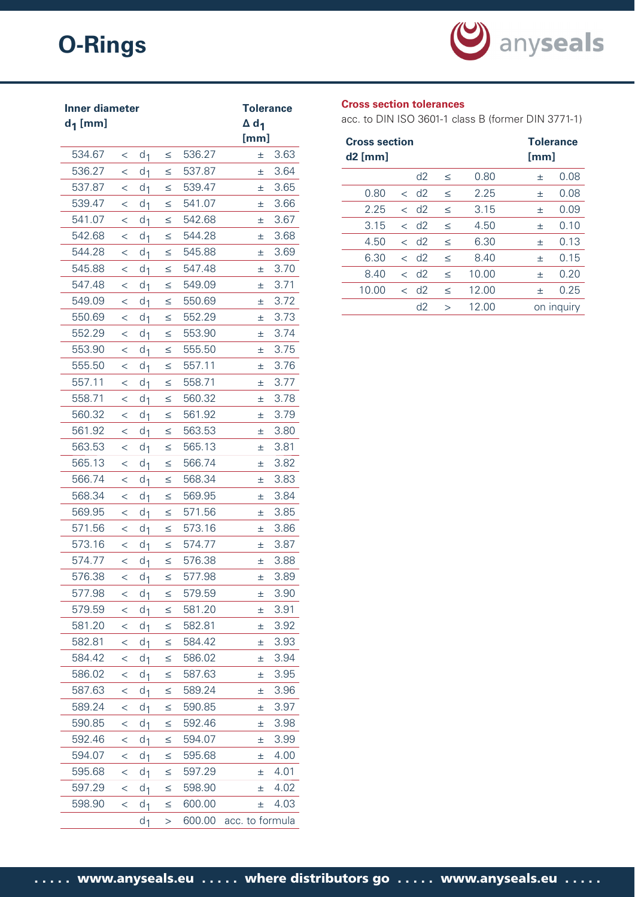

| <b>Inner diameter</b> |         | <b>Tolerance</b> |        |        |                         |
|-----------------------|---------|------------------|--------|--------|-------------------------|
| $d_1$ [mm]            |         |                  |        |        | $\Delta$ d <sub>1</sub> |
|                       |         |                  |        |        | [mm]                    |
| 534.67                | $\lt$   | d <sub>1</sub>   | $\leq$ | 536.27 | 3.63<br>士               |
| 536.27                | $\,<\,$ | d <sub>1</sub>   | $\leq$ | 537.87 | 3.64<br>士               |
| 537.87                | $\,<\,$ | d <sub>1</sub>   | $\leq$ | 539.47 | 3.65<br>士               |
| 539.47                | $\,<\,$ | d <sub>1</sub>   | $\leq$ | 541.07 | 3.66<br>士               |
| 541.07                | $\,<$   | d <sub>1</sub>   | $\leq$ | 542.68 | 3.67<br>土               |
| 542.68                | $\,<\,$ | d <sub>1</sub>   | $\leq$ | 544.28 | 3.68<br>士               |
| 544.28                | $\,<\,$ | d <sub>1</sub>   | $\leq$ | 545.88 | 3.69<br>士               |
| 545.88                | $\,<\,$ | d <sub>1</sub>   | ≤      | 547.48 | 3.70<br>士               |
| 547.48                | $\,<\,$ | d <sub>1</sub>   | $\leq$ | 549.09 | 3.71<br>士               |
| 549.09                | $\,<\,$ | d <sub>1</sub>   | $\leq$ | 550.69 | 3.72<br>土               |
| 550.69                | $\,<\,$ | d <sub>1</sub>   | $\leq$ | 552.29 | 3.73<br>士               |
| 552.29                | $\,<\,$ | d <sub>1</sub>   | $\leq$ | 553.90 | 3.74<br>土               |
| 553.90                | $\,<\,$ | d <sub>1</sub>   | $\leq$ | 555.50 | 3.75<br>士               |
| 555.50                | $\,<$   | d <sub>1</sub>   | $\leq$ | 557.11 | 3.76<br>士               |
| 557.11                | $\,<\,$ | d <sub>1</sub>   | $\leq$ | 558.71 | 3.77<br>士               |
| 558.71                | $\,<\,$ | d <sub>1</sub>   | $\leq$ | 560.32 | 3.78<br>士               |
| 560.32                | $\,<\,$ | d <sub>1</sub>   | $\leq$ | 561.92 | 3.79<br>土               |
| 561.92                | $\,<\,$ | d <sub>1</sub>   | $\leq$ | 563.53 | 3.80<br>士               |
| 563.53                | $\,<\,$ | d <sub>1</sub>   | $\leq$ | 565.13 | 3.81<br>士               |
| 565.13                | $\,<$   | d <sub>1</sub>   | ≤      | 566.74 | 3.82<br>士               |
| 566.74                | $\,<$   | d <sub>1</sub>   | ≤      | 568.34 | 3.83<br>土               |
| 568.34                | $\,<$   | d <sub>1</sub>   | $\leq$ | 569.95 | 3.84<br>士               |
| 569.95                | $\,<\,$ | d <sub>1</sub>   | ≤      | 571.56 | 3.85<br>土               |
| 571.56                | $\,<\,$ | d <sub>1</sub>   | $\leq$ | 573.16 | 3.86<br>土               |
| 573.16                | $\,<\,$ | d <sub>1</sub>   | $\leq$ | 574.77 | 3.87<br>士               |
| 574.77                | $\,<\,$ | d <sub>1</sub>   | $\leq$ | 576.38 | 3.88<br>土               |
| 576.38                | <       | d <sub>1</sub>   | ≤      | 577.98 | 3.89<br>土               |
| 577.98                | $\,<\,$ | d <sub>1</sub>   | $\leq$ | 579.59 | 3.90<br>士               |
| 579.59                | $\lt$   | d <sub>1</sub>   | $\leq$ | 581.20 | 3.91<br>土               |
| 581.20                | $\,<\,$ | d <sub>1</sub>   | $\leq$ | 582.81 | 3.92<br>士               |
| 582.81                | $\,<$   | d <sub>1</sub>   | $\leq$ | 584.42 | 3.93<br>士               |
| 584.42                | $\,<\,$ | d <sub>1</sub>   | $\leq$ | 586.02 | 3.94<br>土               |
| 586.02                | $\,<\,$ | d <sub>1</sub>   | $\leq$ | 587.63 | 3.95<br>士               |
| 587.63                | $\,<\,$ | d <sub>1</sub>   | $\leq$ | 589.24 | 3.96<br>士               |
| 589.24                | $\,<\,$ | d <sub>1</sub>   | $\leq$ | 590.85 | 3.97<br>土               |
| 590.85                | $\,<\,$ | d <sub>1</sub>   | $\leq$ | 592.46 | 3.98<br>土               |
| 592.46                | $\,<\,$ | d <sub>1</sub>   | $\leq$ | 594.07 | 3.99<br>$\pm$           |
| 594.07                | $\,<$   | d <sub>1</sub>   | $\leq$ | 595.68 | 4.00<br>土               |
| 595.68                | $\,<\,$ | d <sub>1</sub>   | $\leq$ | 597.29 | 4.01<br>士               |
| 597.29                | $\,<$   | d <sub>1</sub>   | $\leq$ | 598.90 | 4.02<br>士               |
| 598.90                | $\,<\,$ | d <sub>1</sub>   | $\leq$ | 600.00 | 4.03<br>士               |
|                       |         | $d_1$            | $\geq$ | 600.00 | acc. to formula         |

# **Cross section tolerances**

acc. to DIN ISO 3601-1 class B (former DIN 3771-1)

| <b>Cross section</b><br>$d2$ [mm] |                          |                    |        |       | <b>Tolerance</b><br>[mm] |
|-----------------------------------|--------------------------|--------------------|--------|-------|--------------------------|
|                                   |                          | d2                 | $\leq$ | 0.80  | 0.08<br>士                |
| 0.80                              |                          | $<$ d <sub>2</sub> | $\leq$ | 2.25  | 0.08<br>士                |
| 2.25                              |                          | $<$ d <sub>2</sub> | $\leq$ | 3.15  | 0.09<br>士                |
| 3.15                              |                          | $<$ d <sub>2</sub> | $\leq$ | 4.50  | 0.10<br>士                |
| 4.50                              |                          | $<$ d <sub>2</sub> | $\leq$ | 6.30  | 0.13<br>士                |
| 6.30                              |                          | $<$ d <sub>2</sub> | $\leq$ | 8.40  | 0.15<br>士                |
| 8.40                              | $\overline{\phantom{a}}$ | d2                 | $\leq$ | 10.00 | 0.20<br>士                |
| 10.00                             |                          | $<$ d <sub>2</sub> | $\leq$ | 12.00 | 0.25<br>士                |
|                                   |                          | d2                 | $\geq$ | 12.00 | on inquiry               |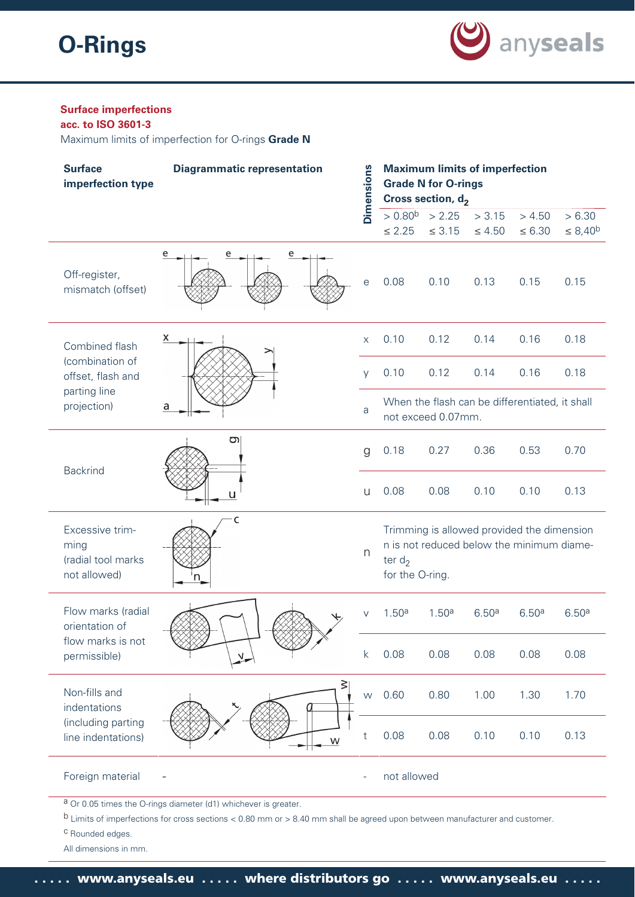

# **Surface imperfections**

**acc. to ISO 3601-3** Maximum limits of imperfection for O-rings **Grade N**

| <b>Surface</b><br>imperfection type                           | <b>Diagrammatic representation</b> |                   | <b>Maximum limits of imperfection</b><br><b>Grade N for O-rings</b><br>Cross section, d <sub>2</sub> |                    |                   |                                                                                         |                   |  |
|---------------------------------------------------------------|------------------------------------|-------------------|------------------------------------------------------------------------------------------------------|--------------------|-------------------|-----------------------------------------------------------------------------------------|-------------------|--|
|                                                               |                                    | <b>Dimensions</b> |                                                                                                      | $> 0.80^b$ > 2.25  | > 3.15            | > 4.50                                                                                  | > 6.30            |  |
|                                                               |                                    |                   | $\leq 2.25$                                                                                          | $\leq 3.15$        | $\leq 4.50$       | $\leq 6.30$                                                                             | $\leq 8,40^b$     |  |
| Off-register,<br>mismatch (offset)                            | e<br>e<br>e                        | е                 | 0.08                                                                                                 | 0.10               | 0.13              | 0.15                                                                                    | 0.15              |  |
| Combined flash                                                | х                                  | X                 | 0.10                                                                                                 | 0.12               | 0.14              | 0.16                                                                                    | 0.18              |  |
| (combination of<br>offset, flash and                          |                                    | <b>V</b>          | 0.10                                                                                                 | 0.12               | 0.14              | 0.16                                                                                    | 0.18              |  |
| parting line<br>projection)                                   | a                                  | a                 |                                                                                                      | not exceed 0.07mm. |                   | When the flash can be differentiated, it shall                                          |                   |  |
|                                                               | তা                                 | g                 | 0.18                                                                                                 | 0.27               | 0.36              | 0.53                                                                                    | 0.70              |  |
| <b>Backrind</b>                                               |                                    | U                 | 0.08                                                                                                 | 0.08               | 0.10              | 0.10                                                                                    | 0.13              |  |
| Excessive trim-<br>ming<br>(radial tool marks<br>not allowed) | C                                  | n                 | ter $d_2$<br>for the O-ring.                                                                         |                    |                   | Trimming is allowed provided the dimension<br>n is not reduced below the minimum diame- |                   |  |
| Flow marks (radial<br>orientation of                          |                                    |                   | 1.50 <sup>a</sup>                                                                                    | 1.50 <sup>a</sup>  | 6.50 <sup>a</sup> | 6.50 <sup>a</sup>                                                                       | 6.50 <sup>a</sup> |  |
| flow marks is not<br>permissible)                             |                                    | k                 | 0.08                                                                                                 | 0.08               | 0.08              | 0.08                                                                                    | 0.08              |  |
| Non-fills and<br>indentations                                 | $\geq$                             | W                 | 0.60                                                                                                 | 0.80               | 1.00              | 1.30                                                                                    | 1.70              |  |
| (including parting<br>line indentations)                      | W                                  |                   | 0.08                                                                                                 | 0.08               | 0.10              | 0.10                                                                                    | 0.13              |  |
| Foreign material                                              |                                    | ۰                 | not allowed                                                                                          |                    |                   |                                                                                         |                   |  |

a Or 0.05 times the O-rings diameter (d1) whichever is greater.

b Limits of imperfections for cross sections < 0.80 mm or > 8.40 mm shall be agreed upon between manufacturer and customer.

c Rounded edges.

All dimensions in mm.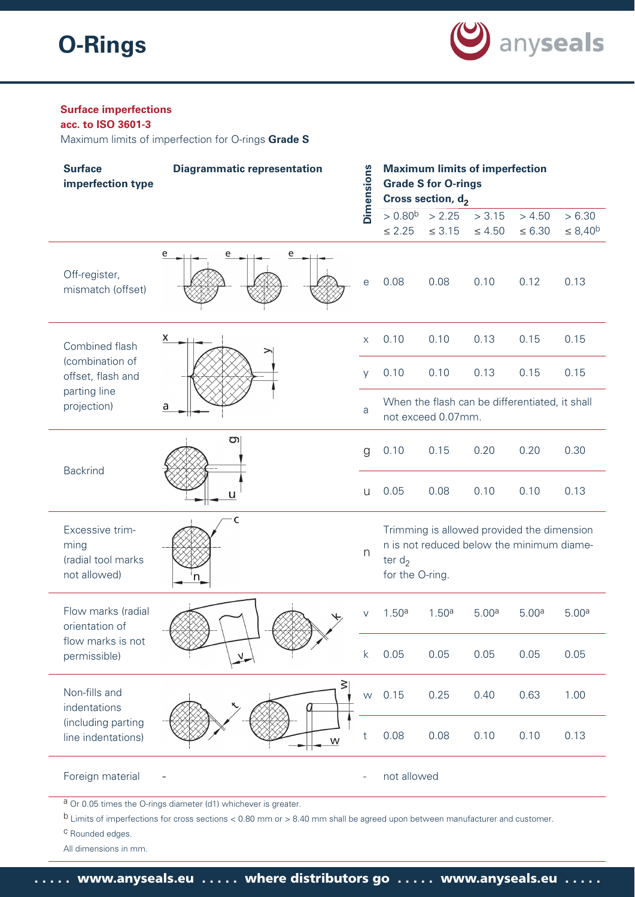

# **Surface imperfections**

**acc. to ISO 3601-3** Maximum limits of imperfection for O-rings **Grade S**

| <b>Surface</b><br>imperfection type                           | <b>Diagrammatic representation</b>                              | Dimensions   |                              | <b>Grade S for O-rings</b><br>Cross section, $d_2$ | <b>Maximum limits of imperfection</b>                                                   |                       |                           |
|---------------------------------------------------------------|-----------------------------------------------------------------|--------------|------------------------------|----------------------------------------------------|-----------------------------------------------------------------------------------------|-----------------------|---------------------------|
|                                                               |                                                                 |              | $\leq 2.25$                  | $> 0.80^b$ > 2.25<br>$\leq 3.15$                   | > 3.15<br>$\leq 4.50$                                                                   | > 4.50<br>$\leq 6.30$ | > 6.30<br>$\leq 8,40^{b}$ |
| Off-register,<br>mismatch (offset)                            | e<br>e<br>e                                                     | e            | 0.08                         | 0.08                                               | 0.10                                                                                    | 0.12                  | 0.13                      |
| Combined flash                                                | x                                                               | $\mathsf{X}$ | 0.10                         | 0.10                                               | 0.13                                                                                    | 0.15                  | 0.15                      |
| (combination of<br>offset, flash and                          |                                                                 | V            | 0.10                         | 0.10                                               | 0.13                                                                                    | 0.15                  | 0.15                      |
| parting line<br>projection)                                   | a                                                               | a            |                              | not exceed 0.07mm.                                 | When the flash can be differentiated, it shall                                          |                       |                           |
|                                                               | g                                                               | g            | 0.10                         | 0.15                                               | 0.20                                                                                    | 0.20                  | 0.30                      |
| <b>Backrind</b>                                               | u                                                               | $\cup$       | 0.05                         | 0.08                                               | 0.10                                                                                    | 0.10                  | 0.13                      |
| Excessive trim-<br>ming<br>(radial tool marks<br>not allowed) | c                                                               | n            | ter $d_2$<br>for the O-ring. |                                                    | Trimming is allowed provided the dimension<br>n is not reduced below the minimum diame- |                       |                           |
| Flow marks (radial<br>orientation of                          |                                                                 | V            | 1.50 <sup>a</sup>            | 1.50 <sup>a</sup>                                  | 5.00 <sup>a</sup>                                                                       | 5.00 <sup>a</sup>     | 5.00 <sup>a</sup>         |
| flow marks is not<br>permissible)                             |                                                                 | k            | 0.05                         | 0.05                                               | 0.05                                                                                    | 0.05                  | 0.05                      |
| Non-fills and<br>indentations                                 | $\geq$                                                          | W            | 0.15                         | 0.25                                               | 0.40                                                                                    | 0.63                  | 1.00                      |
| (including parting<br>line indentations)                      | W                                                               | t            | 0.08                         | 0.08                                               | 0.10                                                                                    | 0.10                  | 0.13                      |
| Foreign material                                              |                                                                 | ۰            | not allowed                  |                                                    |                                                                                         |                       |                           |
|                                                               | a Or 0.05 times the O-rings diameter (d1) whichever is greater. |              |                              |                                                    |                                                                                         |                       |                           |

b Limits of imperfections for cross sections < 0.80 mm or > 8.40 mm shall be agreed upon between manufacturer and customer.

c Rounded edges.

All dimensions in mm.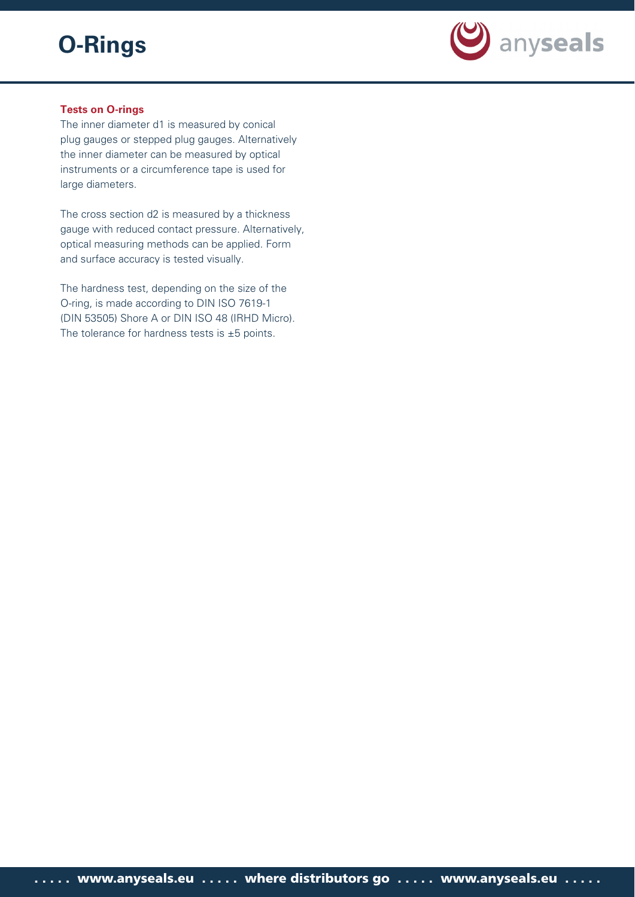

# **Tests on O-rings**

The inner diameter d1 is measured by conical plug gauges or stepped plug gauges. Alternatively the inner diameter can be measured by optical instruments or a circumference tape is used for large diameters.

The cross section d2 is measured by a thickness gauge with reduced contact pressure. Alternatively, optical measuring methods can be applied. Form and surface accuracy is tested visually.

The hardness test, depending on the size of the O-ring, is made according to DIN ISO 7619-1 (DIN 53505) Shore A or DIN ISO 48 (IRHD Micro). The tolerance for hardness tests is  $\pm 5$  points.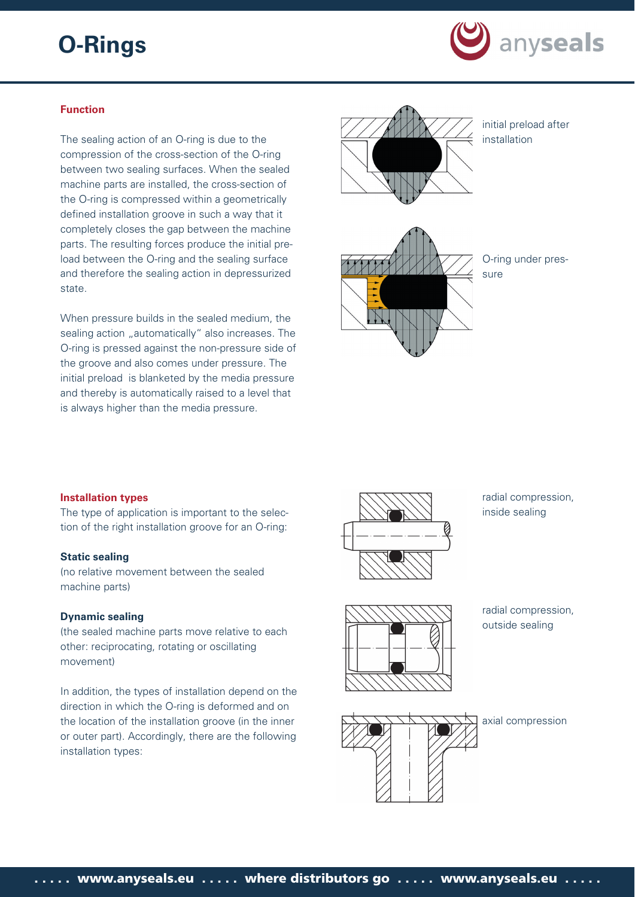

# **Function**

The sealing action of an O-ring is due to the compression of the cross-section of the O-ring between two sealing surfaces. When the sealed machine parts are installed, the cross-section of the O-ring is compressed within a geometrically defined installation groove in such a way that it completely closes the gap between the machine parts. The resulting forces produce the initial preload between the O-ring and the sealing surface and therefore the sealing action in depressurized state.

When pressure builds in the sealed medium, the sealing action "automatically" also increases. The O-ring is pressed against the non-pressure side of the groove and also comes under pressure. The initial preload is blanketed by the media pressure and thereby is automatically raised to a level that is always higher than the media pressure.



initial preload after installation



O-ring under pressure

#### **Installation types**

The type of application is important to the selection of the right installation groove for an O-ring:

#### **Static sealing**

(no relative movement between the sealed machine parts)

#### **Dynamic sealing**

(the sealed machine parts move relative to each other: reciprocating, rotating or oscillating movement)

In addition, the types of installation depend on the direction in which the O-ring is deformed and on the location of the installation groove (in the inner or outer part). Accordingly, there are the following installation types:



radial compression, inside sealing



radial compression, outside sealing

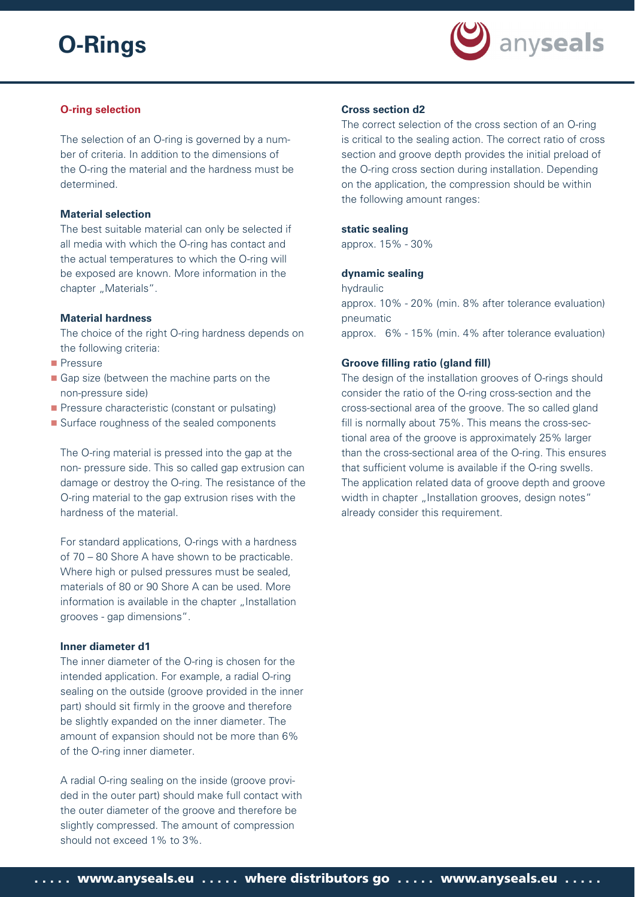

# **O-ring selection**

The selection of an O-ring is governed by a number of criteria. In addition to the dimensions of the O-ring the material and the hardness must be determined.

#### **Material selection**

The best suitable material can only be selected if all media with which the O-ring has contact and the actual temperatures to which the O-ring will be exposed are known. More information in the chapter "Materials".

#### **Material hardness**

The choice of the right O-ring hardness depends on the following criteria:

- **Pressure**
- Gap size (between the machine parts on the non-pressure side)
- **Pressure characteristic (constant or pulsating)**
- Surface roughness of the sealed components

The O-ring material is pressed into the gap at the non- pressure side. This so called gap extrusion can damage or destroy the O-ring. The resistance of the O-ring material to the gap extrusion rises with the hardness of the material.

For standard applications, O-rings with a hardness of 70 – 80 Shore A have shown to be practicable. Where high or pulsed pressures must be sealed, materials of 80 or 90 Shore A can be used. More information is available in the chapter "Installation grooves - gap dimensions".

# **Inner diameter d1**

The inner diameter of the O-ring is chosen for the intended application. For example, a radial O-ring sealing on the outside (groove provided in the inner part) should sit firmly in the groove and therefore be slightly expanded on the inner diameter. The amount of expansion should not be more than 6% of the O-ring inner diameter.

A radial O-ring sealing on the inside (groove provided in the outer part) should make full contact with the outer diameter of the groove and therefore be slightly compressed. The amount of compression should not exceed 1% to 3%.

#### **Cross section d2**

The correct selection of the cross section of an O-ring is critical to the sealing action. The correct ratio of cross section and groove depth provides the initial preload of the O-ring cross section during installation. Depending on the application, the compression should be within the following amount ranges:

#### **static sealing**

approx. 15% - 30%

#### **dynamic sealing**

hydraulic

approx. 10% - 20% (min. 8% after tolerance evaluation) pneumatic approx. 6% - 15% (min. 4% after tolerance evaluation)

#### **Groove filling ratio (gland fill)**

The design of the installation grooves of O-rings should consider the ratio of the O-ring cross-section and the cross-sectional area of the groove. The so called gland fill is normally about 75%. This means the cross-sectional area of the groove is approximately 25% larger than the cross-sectional area of the O-ring. This ensures that sufficient volume is available if the O-ring swells. The application related data of groove depth and groove width in chapter "Installation grooves, design notes" already consider this requirement.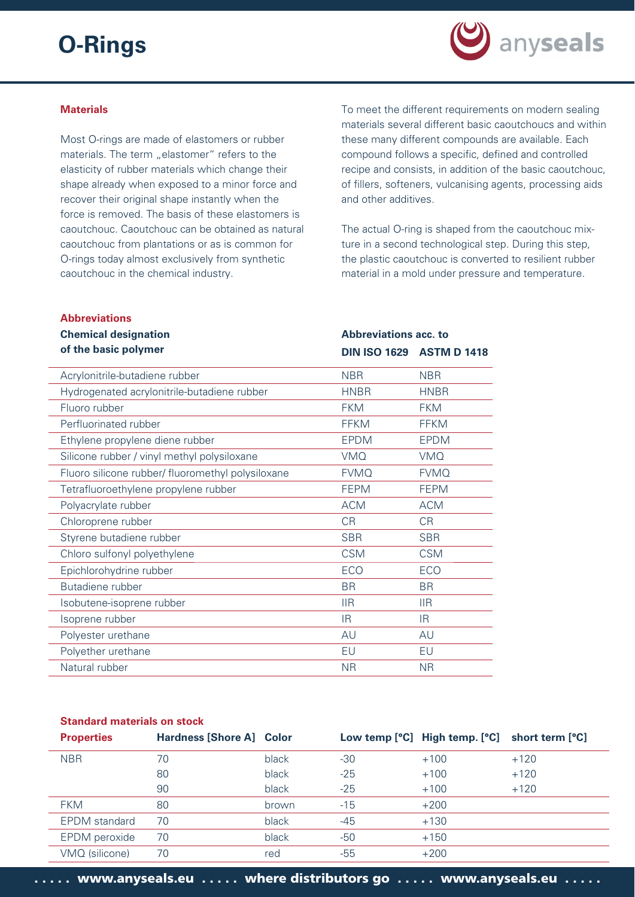

#### **Materials**

Most O-rings are made of elastomers or rubber materials. The term "elastomer" refers to the elasticity of rubber materials which change their shape already when exposed to a minor force and recover their original shape instantly when the force is removed. The basis of these elastomers is caoutchouc. Caoutchouc can be obtained as natural caoutchouc from plantations or as is common for O-rings today almost exclusively from synthetic caoutchouc in the chemical industry.

To meet the different requirements on modern sealing materials several different basic caoutchoucs and within these many different compounds are available. Each compound follows a specific, defined and controlled recipe and consists, in addition of the basic caoutchouc, of fillers, softeners, vulcanising agents, processing aids and other additives.

The actual O-ring is shaped from the caoutchouc mixture in a second technological step. During this step, the plastic caoutchouc is converted to resilient rubber material in a mold under pressure and temperature.

**Abbreviations acc. to** 

**DIN ISO 1629 ASTM D 1418**

#### **Abbreviations**

# **Chemical designation of the basic polymer**

| Acrylonitrile-butadiene rubber                    | <b>NBR</b>  | <b>NBR</b>  |  |
|---------------------------------------------------|-------------|-------------|--|
| Hydrogenated acrylonitrile-butadiene rubber       | <b>HNBR</b> | <b>HNBR</b> |  |
| Fluoro rubber                                     | <b>FKM</b>  | <b>FKM</b>  |  |
| Perfluorinated rubber                             | <b>FFKM</b> | <b>FFKM</b> |  |
| Ethylene propylene diene rubber                   | <b>EPDM</b> | <b>EPDM</b> |  |
| Silicone rubber / vinyl methyl polysiloxane       | <b>VMQ</b>  | <b>VMQ</b>  |  |
| Fluoro silicone rubber/ fluoromethyl polysiloxane | <b>FVMQ</b> | <b>FVMQ</b> |  |
| Tetrafluoroethylene propylene rubber              | <b>FEPM</b> | <b>FEPM</b> |  |
| Polyacrylate rubber                               | <b>ACM</b>  | <b>ACM</b>  |  |
| Chloroprene rubber                                | <b>CR</b>   | <b>CR</b>   |  |
| Styrene butadiene rubber                          | <b>SBR</b>  | <b>SBR</b>  |  |
| Chloro sulfonyl polyethylene                      | <b>CSM</b>  | <b>CSM</b>  |  |
| Epichlorohydrine rubber                           | <b>ECO</b>  | ECO         |  |
| Butadiene rubber                                  | <b>BR</b>   | <b>BR</b>   |  |
| Isobutene-isoprene rubber                         | <b>IIR</b>  | <b>IIR</b>  |  |
| Isoprene rubber                                   | IR.         | IR.         |  |
| Polyester urethane                                | AU          | AU          |  |
| Polyether urethane                                | EU          | EU          |  |
| Natural rubber                                    | <b>NR</b>   | <b>NR</b>   |  |

#### **Standard materials on stock**

| <b>Properties</b>    | <b>Hardness [Shore A] Color</b> |       |       | Low temp [°C] High temp. [°C] short term [°C] |        |
|----------------------|---------------------------------|-------|-------|-----------------------------------------------|--------|
| <b>NBR</b>           | 70                              | black | $-30$ | $+100$                                        | $+120$ |
|                      | 80                              | black | $-25$ | $+100$                                        | $+120$ |
|                      | 90                              | black | $-25$ | $+100$                                        | $+120$ |
| <b>FKM</b>           | 80                              | brown | $-15$ | $+200$                                        |        |
| <b>EPDM</b> standard | 70                              | black | $-45$ | $+130$                                        |        |
| <b>EPDM</b> peroxide | 70                              | black | $-50$ | $+150$                                        |        |
| VMQ (silicone)       | 70                              | red   | -55   | $+200$                                        |        |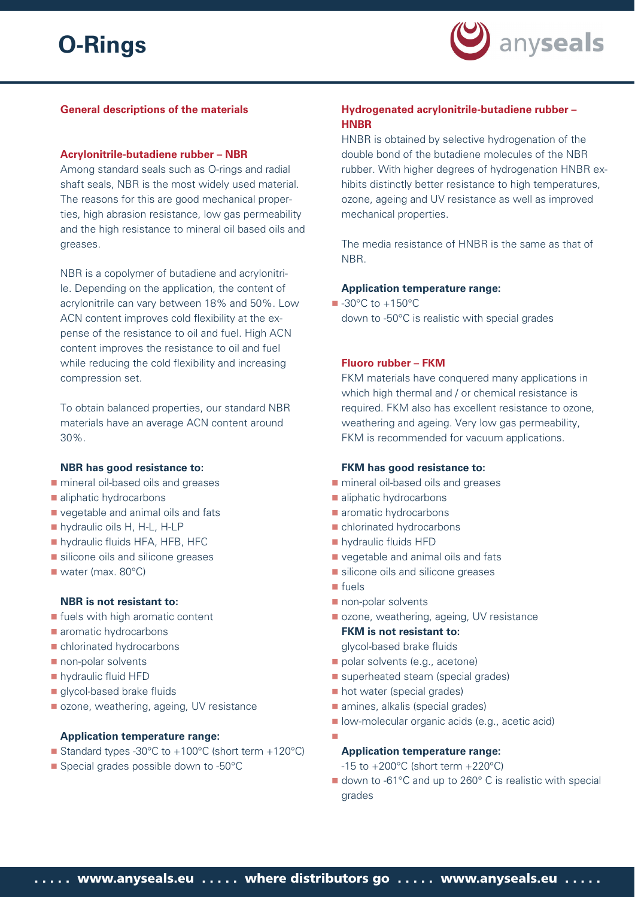

### **General descriptions of the materials**

#### **Acrylonitrile-butadiene rubber – NBR**

Among standard seals such as O-rings and radial shaft seals, NBR is the most widely used material. The reasons for this are good mechanical properties, high abrasion resistance, low gas permeability and the high resistance to mineral oil based oils and greases.

NBR is a copolymer of butadiene and acrylonitrile. Depending on the application, the content of acrylonitrile can vary between 18% and 50%. Low ACN content improves cold flexibility at the expense of the resistance to oil and fuel. High ACN content improves the resistance to oil and fuel while reducing the cold flexibility and increasing compression set.

To obtain balanced properties, our standard NBR materials have an average ACN content around 30%.

#### **NBR has good resistance to:**

- mineral oil-based oils and greases
- **aliphatic hydrocarbons**
- vegetable and animal oils and fats
- hydraulic oils H, H-L, H-LP
- **hydraulic fluids HFA, HFB, HFC**
- silicone oils and silicone greases
- water (max. 80°C)

#### **NBR is not resistant to:**

- **If the standight aromatic content**
- **aromatic hydrocarbons**
- chlorinated hydrocarbons
- non-polar solvents
- **hydraulic fluid HFD**
- glycol-based brake fluids
- ozone, weathering, ageing, UV resistance

# **Application temperature range:**

- Standard types -30°C to +100°C (short term +120°C)
- Special grades possible down to -50°C

# **Hydrogenated acrylonitrile-butadiene rubber – HNBR**

HNBR is obtained by selective hydrogenation of the double bond of the butadiene molecules of the NBR rubber. With higher degrees of hydrogenation HNBR exhibits distinctly better resistance to high temperatures. ozone, ageing and UV resistance as well as improved mechanical properties.

The media resistance of HNBR is the same as that of NBR.

#### **Application temperature range:**

 $\blacksquare$  -30°C to +150°C down to -50°C is realistic with special grades

#### **Fluoro rubber – FKM**

FKM materials have conquered many applications in which high thermal and / or chemical resistance is required. FKM also has excellent resistance to ozone, weathering and ageing. Very low gas permeability, FKM is recommended for vacuum applications.

#### **FKM has good resistance to:**

- **natal mineral oil-based oils and greases**
- aliphatic hydrocarbons
- **a** aromatic hydrocarbons
- chlorinated hydrocarbons
- **hydraulic fluids HFD**
- vegetable and animal oils and fats
- silicone oils and silicone greases
- **n** fuels
- non-polar solvents
- ozone, weathering, ageing, UV resistance

**FKM is not resistant to:** glycol-based brake fluids

- polar solvents (e.g., acetone)
- superheated steam (special grades)
- **hot water (special grades)**
- amines, alkalis (special grades)
- **I** low-molecular organic acids (e.g., acetic acid)
- 

#### **Application temperature range:**

- $-15$  to  $+200^{\circ}$ C (short term  $+220^{\circ}$ C)
- down to -61°C and up to 260°C is realistic with special grades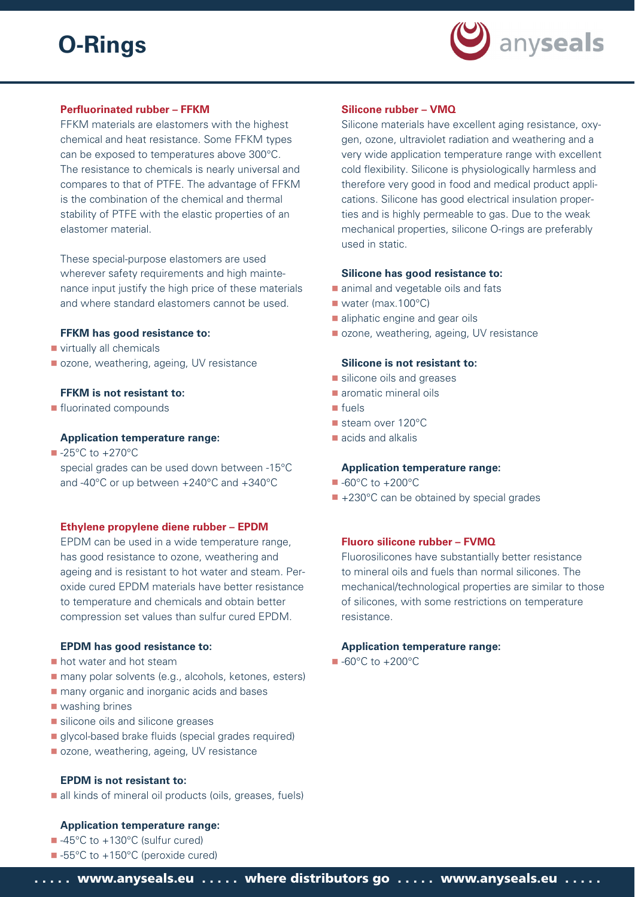

# **Perfluorinated rubber - FFKM**

FFKM materials are elastomers with the highest chemical and heat resistance. Some FFKM types can be exposed to temperatures above 300°C. The resistance to chemicals is nearly universal and compares to that of PTFE. The advantage of FFKM is the combination of the chemical and thermal stability of PTFE with the elastic properties of an elastomer material.

These special-purpose elastomers are used wherever safety requirements and high maintenance input justify the high price of these materials and where standard elastomers cannot be used.

# **FFKM has good resistance to:**

- virtually all chemicals
- ozone, weathering, ageing, UV resistance

# **FFKM is not resistant to:**

**fluorinated compounds** 

# **Application temperature range:**

 $\blacksquare$  -25°C to +270°C special grades can be used down between -15°C and -40°C or up between +240°C and +340°C

#### **Ethylene propylene diene rubber – EPDM**

EPDM can be used in a wide temperature range, has good resistance to ozone, weathering and ageing and is resistant to hot water and steam. Peroxide cured EPDM materials have better resistance to temperature and chemicals and obtain better compression set values than sulfur cured EPDM.

# **EPDM has good resistance to:**

- **hot water and hot steam**
- many polar solvents (e.g., alcohols, ketones, esters)
- **nany organic and inorganic acids and bases**
- washing brines
- silicone oils and silicone greases
- **glycol-based brake fluids (special grades required)**
- ozone, weathering, ageing, UV resistance

#### **EPDM is not resistant to:**

all kinds of mineral oil products (oils, greases, fuels)

# **Application temperature range:**

- -45°C to +130°C (sulfur cured)
- -55°C to +150°C (peroxide cured)

#### **Silicone rubber – VMQ**

Silicone materials have excellent aging resistance, oxygen, ozone, ultraviolet radiation and weathering and a very wide application temperature range with excellent cold flexibility. Silicone is physiologically harmless and therefore very good in food and medical product applications. Silicone has good electrical insulation properties and is highly permeable to gas. Due to the weak mechanical properties, silicone O-rings are preferably used in static.

# **Silicone has good resistance to:**

- animal and vegetable oils and fats
- water (max.100°C)
- aliphatic engine and gear oils
- ozone, weathering, ageing, UV resistance

#### **Silicone is not resistant to:**

- silicone oils and greases
- **aromatic mineral oils**
- fuels
- steam over 120°C
- acids and alkalis

#### **Application temperature range:**

- -60°C to +200°C
- +230°C can be obtained by special grades

# **Fluoro silicone rubber – FVMQ**

Fluorosilicones have substantially better resistance to mineral oils and fuels than normal silicones. The mechanical/technological properties are similar to those of silicones, with some restrictions on temperature resistance.

# **Application temperature range:**

■ -60°C to +200°C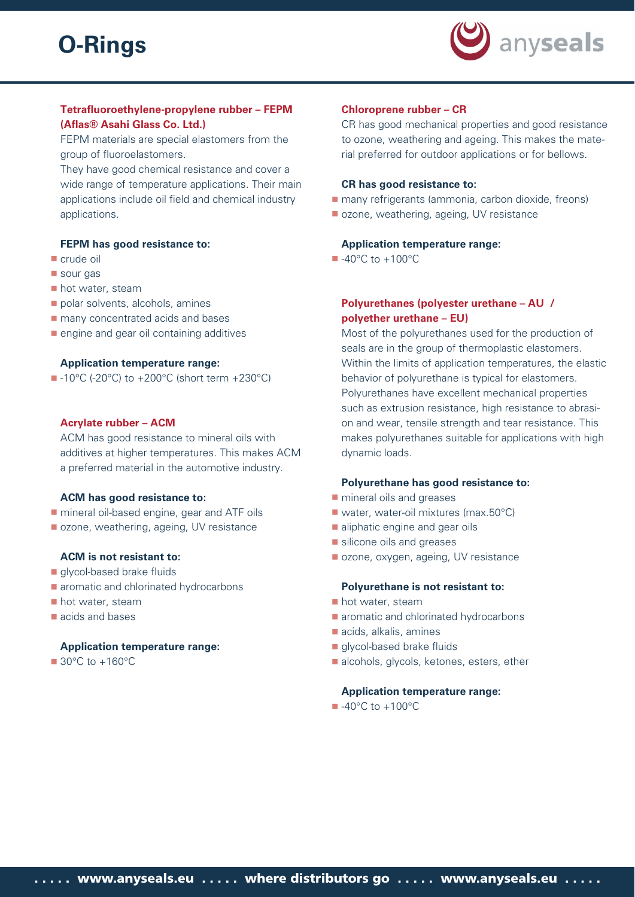

# **Tetrafl uoroethylene-propylene rubber – FEPM (Afl as® Asahi Glass Co. Ltd.)**

FEPM materials are special elastomers from the group of fluoroelastomers.

They have good chemical resistance and cover a wide range of temperature applications. Their main applications include oil field and chemical industry applications.

## **FEPM has good resistance to:**

- crude oil
- sour gas
- hot water, steam
- polar solvents, alcohols, amines
- **nany concentrated acids and bases**
- **engine and gear oil containing additives**

#### **Application temperature range:**

 $\blacksquare$  -10°C (-20°C) to +200°C (short term +230°C)

#### **Acrylate rubber – ACM**

ACM has good resistance to mineral oils with additives at higher temperatures. This makes ACM a preferred material in the automotive industry.

#### **ACM has good resistance to:**

- **natable 11** mineral oil-based engine, gear and ATF oils
- ozone, weathering, ageing, UV resistance

# **ACM is not resistant to:**

- glycol-based brake fluids
- aromatic and chlorinated hydrocarbons
- hot water, steam
- acids and bases

#### **Application temperature range:**

■ 30°C to +160°C

# **Chloroprene rubber – CR**

CR has good mechanical properties and good resistance to ozone, weathering and ageing. This makes the material preferred for outdoor applications or for bellows.

#### **CR has good resistance to:**

- many refrigerants (ammonia, carbon dioxide, freons)
- ozone, weathering, ageing, UV resistance

#### **Application temperature range:**

 $\blacksquare$  -40°C to +100°C

# **Polyurethanes (polyester urethane – AU / polyether urethane – EU)**

Most of the polyurethanes used for the production of seals are in the group of thermoplastic elastomers. Within the limits of application temperatures, the elastic behavior of polyurethane is typical for elastomers. Polyurethanes have excellent mechanical properties such as extrusion resistance, high resistance to abrasion and wear, tensile strength and tear resistance. This makes polyurethanes suitable for applications with high dynamic loads.

#### **Polyurethane has good resistance to:**

- **n** mineral oils and greases
- water, water-oil mixtures (max.50°C)
- aliphatic engine and gear oils
- silicone oils and greases
- ozone, oxygen, ageing, UV resistance

#### **Polyurethane is not resistant to:**

- **hot water, steam**
- **a** aromatic and chlorinated hydrocarbons
- acids, alkalis, amines
- glycol-based brake fluids
- alcohols, glycols, ketones, esters, ether

#### **Application temperature range:**

 $\blacksquare$  -40°C to +100°C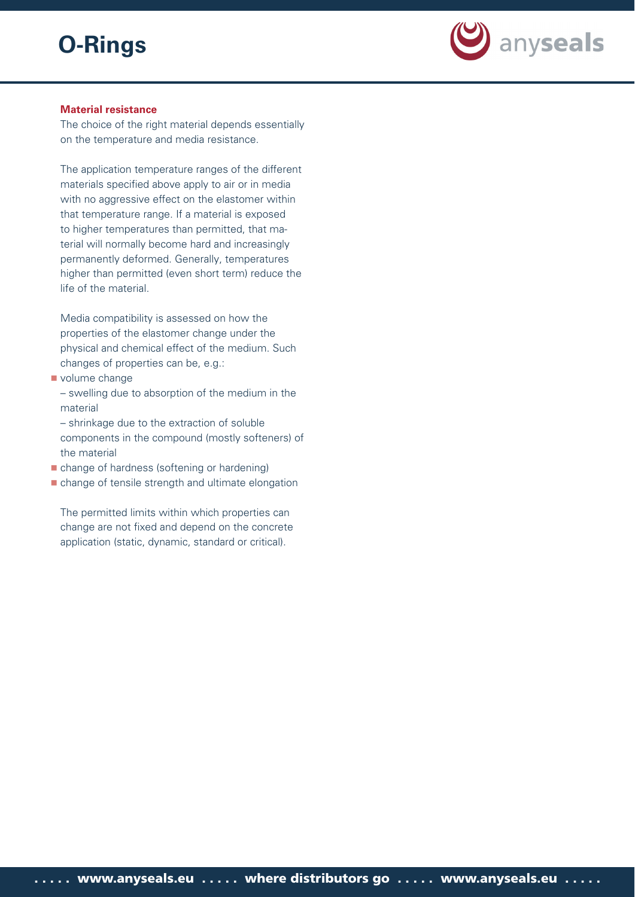

# **Material resistance**

The choice of the right material depends essentially on the temperature and media resistance.

The application temperature ranges of the different materials specified above apply to air or in media with no aggressive effect on the elastomer within that temperature range. If a material is exposed to higher temperatures than permitted, that material will normally become hard and increasingly permanently deformed. Generally, temperatures higher than permitted (even short term) reduce the life of the material.

Media compatibility is assessed on how the properties of the elastomer change under the physical and chemical effect of the medium. Such changes of properties can be, e.g.:

- volume change
	- swelling due to absorption of the medium in the material
	- shrinkage due to the extraction of soluble components in the compound (mostly softeners) of the material
- change of hardness (softening or hardening)
- change of tensile strength and ultimate elongation

The permitted limits within which properties can change are not fixed and depend on the concrete application (static, dynamic, standard or critical).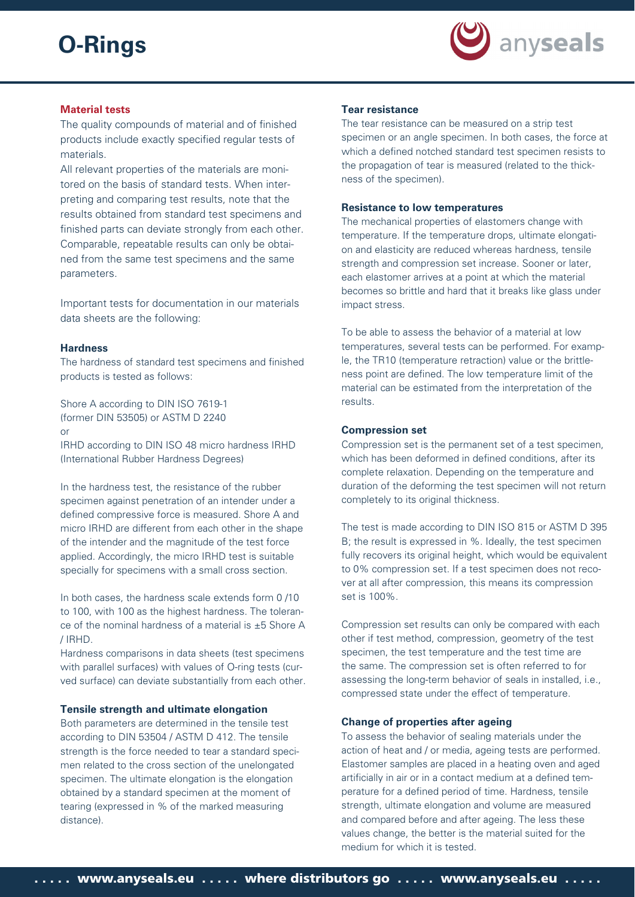

# **Material tests**

The quality compounds of material and of finished products include exactly specified regular tests of materials.

All relevant properties of the materials are monitored on the basis of standard tests. When interpreting and comparing test results, note that the results obtained from standard test specimens and finished parts can deviate strongly from each other. Comparable, repeatable results can only be obtained from the same test specimens and the same parameters.

Important tests for documentation in our materials data sheets are the following:

### **Hardness**

The hardness of standard test specimens and finished products is tested as follows:

Shore A according to DIN ISO 7619-1 (former DIN 53505) or ASTM D 2240 or

IRHD according to DIN ISO 48 micro hardness IRHD (International Rubber Hardness Degrees)

In the hardness test, the resistance of the rubber specimen against penetration of an intender under a defined compressive force is measured. Shore A and micro IRHD are different from each other in the shape of the intender and the magnitude of the test force applied. Accordingly, the micro IRHD test is suitable specially for specimens with a small cross section.

In both cases, the hardness scale extends form 0 /10 to 100, with 100 as the highest hardness. The tolerance of the nominal hardness of a material is ±5 Shore A / IRHD.

Hardness comparisons in data sheets (test specimens with parallel surfaces) with values of O-ring tests (curved surface) can deviate substantially from each other.

#### **Tensile strength and ultimate elongation**

Both parameters are determined in the tensile test according to DIN 53504 / ASTM D 412. The tensile strength is the force needed to tear a standard specimen related to the cross section of the unelongated specimen. The ultimate elongation is the elongation obtained by a standard specimen at the moment of tearing (expressed in % of the marked measuring distance).

# **Tear resistance**

The tear resistance can be measured on a strip test specimen or an angle specimen. In both cases, the force at which a defined notched standard test specimen resists to the propagation of tear is measured (related to the thickness of the specimen).

#### **Resistance to low temperatures**

The mechanical properties of elastomers change with temperature. If the temperature drops, ultimate elongation and elasticity are reduced whereas hardness, tensile strength and compression set increase. Sooner or later, each elastomer arrives at a point at which the material becomes so brittle and hard that it breaks like glass under impact stress.

To be able to assess the behavior of a material at low temperatures, several tests can be performed. For example, the TR10 (temperature retraction) value or the brittleness point are defined. The low temperature limit of the material can be estimated from the interpretation of the results.

#### **Compression set**

Compression set is the permanent set of a test specimen, which has been deformed in defined conditions, after its complete relaxation. Depending on the temperature and duration of the deforming the test specimen will not return completely to its original thickness.

The test is made according to DIN ISO 815 or ASTM D 395 B; the result is expressed in %. Ideally, the test specimen fully recovers its original height, which would be equivalent to 0% compression set. If a test specimen does not recover at all after compression, this means its compression set is 100%.

Compression set results can only be compared with each other if test method, compression, geometry of the test specimen, the test temperature and the test time are the same. The compression set is often referred to for assessing the long-term behavior of seals in installed, i.e., compressed state under the effect of temperature.

#### **Change of properties after ageing**

To assess the behavior of sealing materials under the action of heat and / or media, ageing tests are performed. Elastomer samples are placed in a heating oven and aged artificially in air or in a contact medium at a defined temperature for a defined period of time. Hardness, tensile strength, ultimate elongation and volume are measured and compared before and after ageing. The less these values change, the better is the material suited for the medium for which it is tested.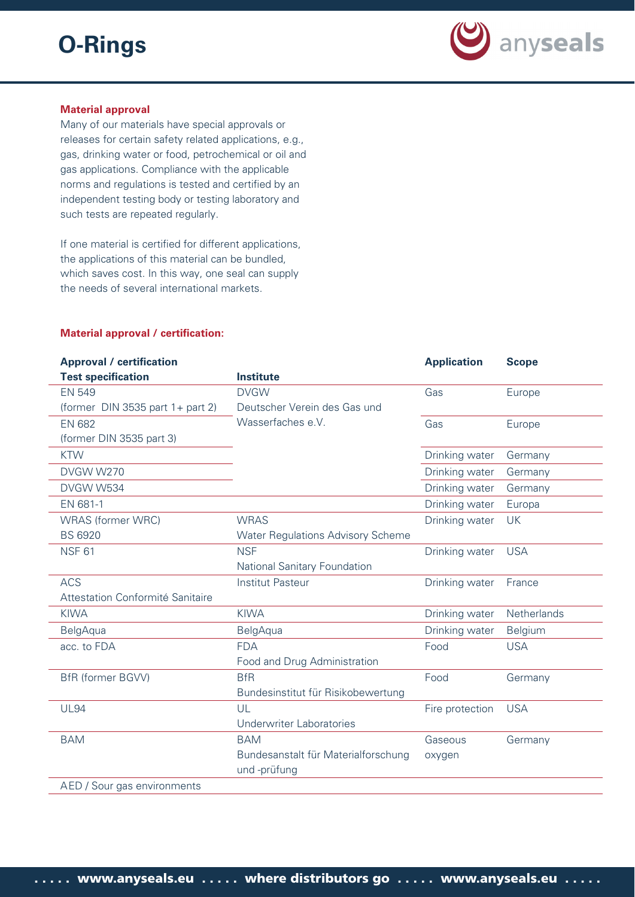

# **Material approval**

Many of our materials have special approvals or releases for certain safety related applications, e.g., gas, drinking water or food, petrochemical or oil and gas applications. Compliance with the applicable norms and regulations is tested and certified by an independent testing body or testing laboratory and such tests are repeated regularly.

If one material is certified for different applications, the applications of this material can be bundled, which saves cost. In this way, one seal can supply the needs of several international markets.

# **Material approval / certification:**

| <b>Approval / certification</b>  |                                          | <b>Application</b> | <b>Scope</b> |
|----------------------------------|------------------------------------------|--------------------|--------------|
| <b>Test specification</b>        | <b>Institute</b>                         |                    |              |
| <b>EN 549</b>                    | <b>DVGW</b>                              | Gas                | Europe       |
| (former DIN 3535 part 1+ part 2) | Deutscher Verein des Gas und             |                    |              |
| <b>EN 682</b>                    | Wasserfaches e.V.                        | Gas                | Europe       |
| (former DIN 3535 part 3)         |                                          |                    |              |
| <b>KTW</b>                       |                                          | Drinking water     | Germany      |
| DVGW W270                        |                                          | Drinking water     | Germany      |
| DVGW W534                        |                                          | Drinking water     | Germany      |
| EN 681-1                         |                                          | Drinking water     | Europa       |
| <b>WRAS</b> (former WRC)         | <b>WRAS</b>                              | Drinking water     | <b>UK</b>    |
| <b>BS 6920</b>                   | <b>Water Regulations Advisory Scheme</b> |                    |              |
| <b>NSF 61</b>                    | <b>NSF</b>                               | Drinking water     | <b>USA</b>   |
|                                  | National Sanitary Foundation             |                    |              |
| <b>ACS</b>                       | <b>Institut Pasteur</b>                  | Drinking water     | France       |
| Attestation Conformité Sanitaire |                                          |                    |              |
| <b>KIWA</b>                      | <b>KIWA</b>                              | Drinking water     | Netherlands  |
| BelgAqua                         | BelgAqua                                 | Drinking water     | Belgium      |
| acc. to FDA                      | <b>FDA</b>                               | Food               | <b>USA</b>   |
|                                  | Food and Drug Administration             |                    |              |
| <b>BfR</b> (former BGVV)         | <b>BfR</b>                               | Food               | Germany      |
|                                  | Bundesinstitut für Risikobewertung       |                    |              |
| <b>UL94</b>                      | UL                                       | Fire protection    | <b>USA</b>   |
|                                  | <b>Underwriter Laboratories</b>          |                    |              |
| <b>BAM</b>                       | <b>BAM</b>                               | Gaseous            | Germany      |
|                                  | Bundesanstalt für Materialforschung      | oxygen             |              |
|                                  | und -prüfung                             |                    |              |
| AED / Sour gas environments      |                                          |                    |              |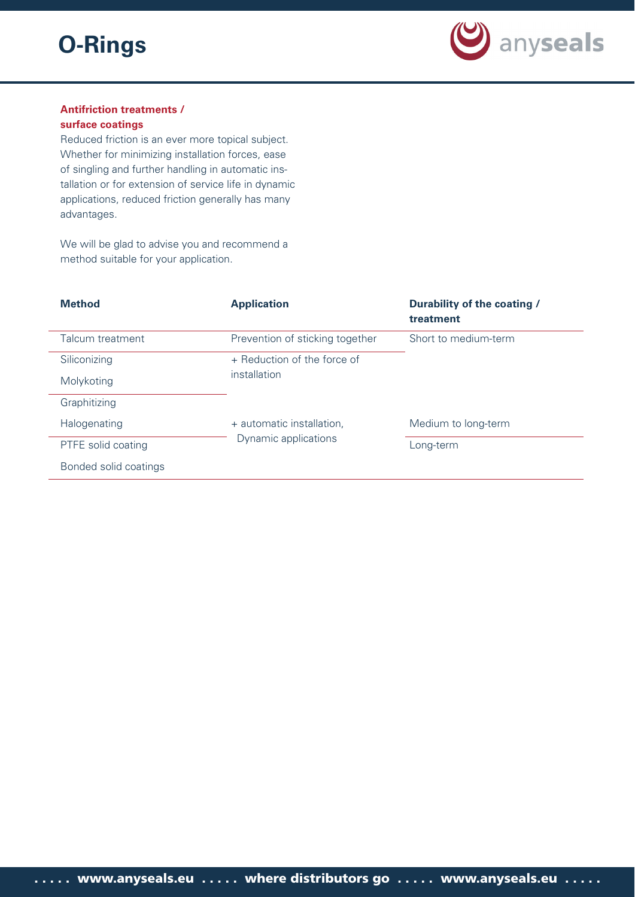

# **Antifriction treatments /**

# **surface coatings**

Reduced friction is an ever more topical subject. Whether for minimizing installation forces, ease of singling and further handling in automatic installation or for extension of service life in dynamic applications, reduced friction generally has many advantages.

We will be glad to advise you and recommend a method suitable for your application.

| <b>Method</b>         | <b>Application</b>              | Durability of the coating /<br>treatment |
|-----------------------|---------------------------------|------------------------------------------|
| Talcum treatment      | Prevention of sticking together | Short to medium-term                     |
| Siliconizing          | + Reduction of the force of     |                                          |
| Molykoting            | installation                    |                                          |
| Graphitizing          |                                 |                                          |
| Halogenating          | + automatic installation,       | Medium to long-term                      |
| PTFE solid coating    | Dynamic applications            | Long-term                                |
| Bonded solid coatings |                                 |                                          |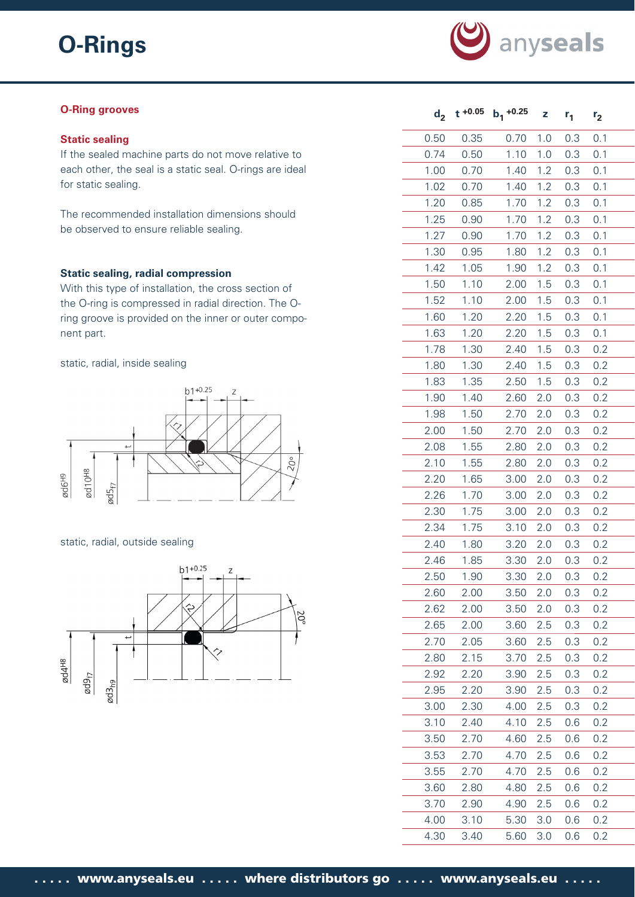

# **O-Ring grooves**

# **Static sealing**

If the sealed machine parts do not move relative to each other, the seal is a static seal. O-rings are ideal for static sealing.

The recommended installation dimensions should be observed to ensure reliable sealing.

# **Static sealing, radial compression**

With this type of installation, the cross section of the O-ring is compressed in radial direction. The Oring groove is provided on the inner or outer component part.

### static, radial, inside sealing



# static, radial, outside sealing



| $d_{2}$ | $t + 0.05$ | $b_1 + 0.25$ | Z   | $r_1$ | r <sub>2</sub> |
|---------|------------|--------------|-----|-------|----------------|
| 0.50    | 0.35       | 0.70         | 1.0 | 0.3   | 0.1            |
| 0.74    | 0.50       | 1.10         | 1.0 | 0.3   | 0.1            |
| 1.00    | 0.70       | 1.40         | 1.2 | 0.3   | 0.1            |
| 1.02    | 0.70       | 1.40         | 1.2 | 0.3   | 0.1            |
| 1.20    | 0.85       | 1.70         | 1.2 | 0.3   | 0.1            |
| 1.25    | 0.90       | 1.70         | 1.2 | 0.3   | 0.1            |
| 1.27    | 0.90       | 1.70         | 1.2 | 0.3   | 0.1            |
| 1.30    | 0.95       | 1.80         | 1.2 | 0.3   | 0.1            |
| 1.42    | 1.05       | 1.90         | 1.2 | 0.3   | 0.1            |
| 1.50    | 1.10       | 2.00         | 1.5 | 0.3   | 0.1            |
| 1.52    | 1.10       | 2.00         | 1.5 | 0.3   | 0.1            |
| 1.60    | 1.20       | 2.20         | 1.5 | 0.3   | 0.1            |
| 1.63    | 1.20       | 2.20         | 1.5 | 0.3   | 0.1            |
| 1.78    | 1.30       | 2.40         | 1.5 | 0.3   | 0.2            |
| 1.80    | 1.30       | 2.40         | 1.5 | 0.3   | 0.2            |
| 1.83    | 1.35       | 2.50         | 1.5 | 0.3   | 0.2            |
| 1.90    | 1.40       | 2.60         | 2.0 | 0.3   | 0.2            |
| 1.98    | 1.50       | 2.70         | 2.0 | 0.3   | 0.2            |
| 2.00    | 1.50       | 2.70         | 2.0 | 0.3   | 0.2            |
| 2.08    | 1.55       | 2.80         | 2.0 | 0.3   | 0.2            |
| 2.10    | 1.55       | 2.80         | 2.0 | 0.3   | 0.2            |
| 2.20    | 1.65       | 3.00         | 2.0 | 0.3   | 0.2            |
| 2.26    | 1.70       | 3.00         | 2.0 | 0.3   | 0.2            |
| 2.30    | 1.75       | 3.00         | 2.0 | 0.3   | 0.2            |
| 2.34    | 1.75       | 3.10         | 2.0 | 0.3   | 0.2            |
| 2.40    | 1.80       | 3.20         | 2.0 | 0.3   | 0.2            |
| 2.46    | 1.85       | 3.30         | 2.0 | 0.3   | 0.2            |
| 2.50    | 1.90       | 3.30         | 2.0 | 0.3   | 0.2            |
| 2.60    | 2.00       | 3.50         | 2.0 | 0.3   | 0.2            |
| 2.62    | 2.00       | 3.50         | 2.0 | 0.3   | 0.2            |
| 2.65    | 2.00       | 3.60         | 2.5 | 0.3   | 0.2            |
| 2.70    | 2.05       | 3.60         | 2.5 | 0.3   | 0.2            |
| 2.80    | 2.15       | 3.70         | 2.5 | 0.3   | 0.2            |
| 2.92    | 2.20       | 3.90         | 2.5 | 0.3   | 0.2            |
| 2.95    | 2.20       | 3.90         | 2.5 | 0.3   | 0.2            |
| 3.00    | 2.30       | 4.00         | 2.5 | 0.3   | 0.2            |
| 3.10    | 2.40       | 4.10         | 2.5 | 0.6   | 0.2            |
| 3.50    | 2.70       | 4.60         | 2.5 | 0.6   | 0.2            |
| 3.53    | 2.70       | 4.70         | 2.5 | 0.6   | 0.2            |
| 3.55    | 2.70       | 4.70         | 2.5 | 0.6   | 0.2            |
| 3.60    | 2.80       | 4.80         | 2.5 | 0.6   | 0.2            |
| 3.70    | 2.90       | 4.90         | 2.5 | 0.6   | 0.2            |
| 4.00    | 3.10       | 5.30         | 3.0 | 0.6   | 0.2            |
| 4.30    | 3.40       | 5.60         | 3.0 | 0.6   | 0.2            |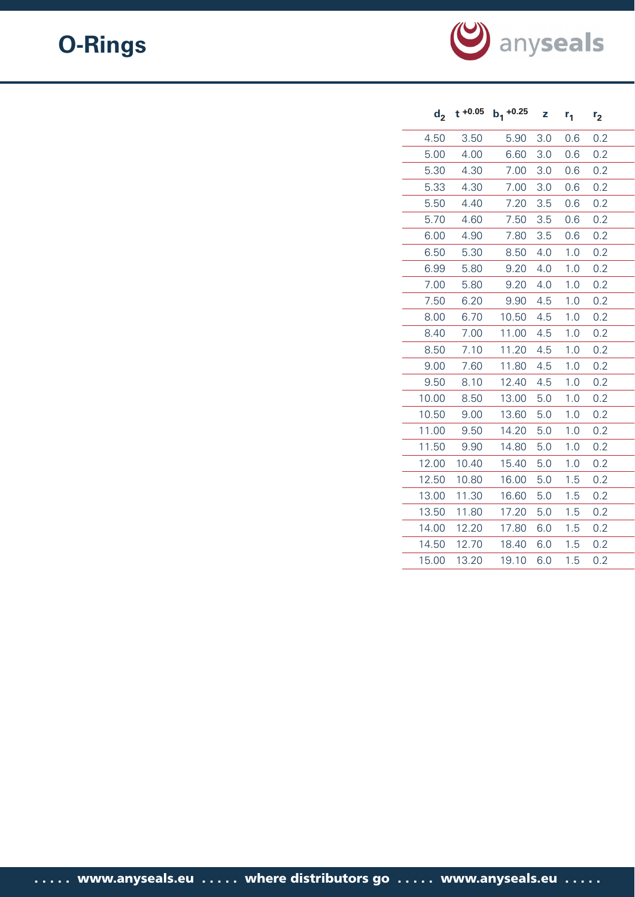

| $d_{2}$ | $t + 0.05$ | $b_1$ +0.25 | z   | $r_{1}$ | r <sub>2</sub> |
|---------|------------|-------------|-----|---------|----------------|
| 4.50    | 3.50       | 5.90        | 3.0 | 0.6     | 0.2            |
| 5.00    | 4.00       | 6.60        | 3.0 | 0.6     | 0.2            |
| 5.30    | 4.30       | 7.00        | 3.0 | 0.6     | 0.2            |
| 5.33    | 4.30       | 7.00        | 3.0 | 0.6     | 0.2            |
| 5.50    | 4.40       | 7.20        | 3.5 | 0.6     | 0.2            |
| 5.70    | 4.60       | 7.50        | 3.5 | 0.6     | 0.2            |
| 6.00    | 4.90       | 7.80        | 3.5 | 0.6     | 0.2            |
| 6.50    | 5.30       | 8.50        | 4.0 | 1.0     | 0.2            |
| 6.99    | 5.80       | 9.20        | 4.0 | 1.0     | 0.2            |
| 7.00    | 5.80       | 9.20        | 4.0 | 1.0     | 0.2            |
| 7.50    | 6.20       | 9.90        | 4.5 | 1.0     | 0.2            |
| 8.00    | 6.70       | 10.50       | 4.5 | 1.0     | 0.2            |
| 8.40    | 7.00       | 11.00       | 4.5 | 1.0     | 0.2            |
| 8.50    | 7.10       | 11.20       | 4.5 | 1.0     | 0.2            |
| 9.00    | 7.60       | 11.80       | 4.5 | 1.0     | 0.2            |
| 9.50    | 8.10       | 12.40       | 4.5 | 1.0     | 0.2            |
| 10.00   | 8.50       | 13.00       | 5.0 | 1.0     | 0.2            |
| 10.50   | 9.00       | 13.60       | 5.0 | 1.0     | 0.2            |
| 11.00   | 9.50       | 14.20       | 5.0 | 1.0     | 0.2            |
| 11.50   | 9.90       | 14.80       | 5.0 | 1.0     | 0.2            |
| 12.00   | 10.40      | 15.40       | 5.0 | 1.0     | 0.2            |
| 12.50   | 10.80      | 16.00       | 5.0 | 1.5     | 0.2            |
| 13.00   | 11.30      | 16.60       | 5.0 | 1.5     | 0.2            |
| 13.50   | 11.80      | 17.20       | 5.0 | 1.5     | 0.2            |
| 14.00   | 12.20      | 17.80       | 6.0 | 1.5     | 0.2            |
| 14.50   | 12.70      | 18.40       | 6.0 | 1.5     | 0.2            |
| 15.00   | 13.20      | 19.10       | 6.0 | 1.5     | 0.2            |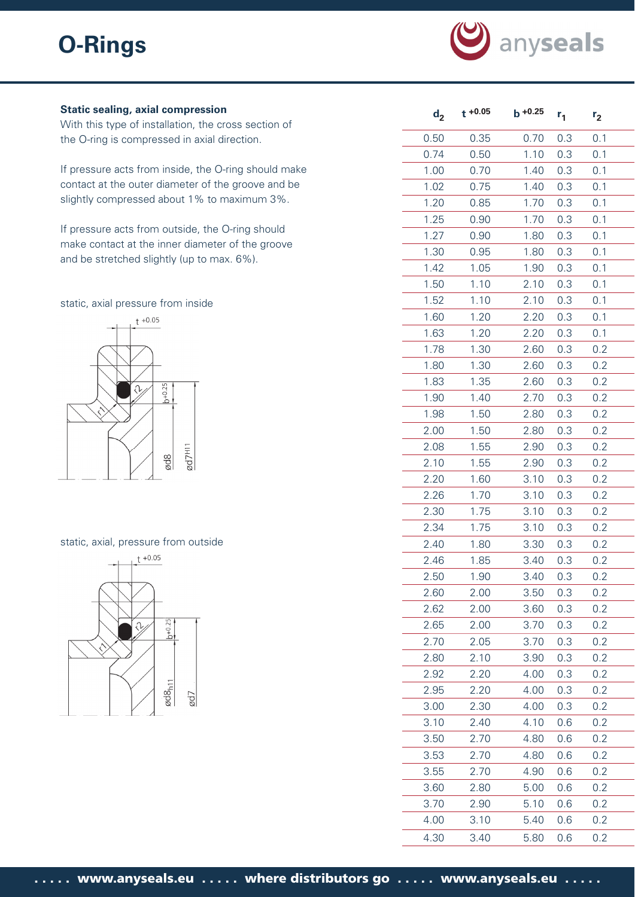

# **Static sealing, axial compression**

With this type of installation, the cross section of the O-ring is compressed in axial direction.

If pressure acts from inside, the O-ring should make contact at the outer diameter of the groove and be slightly compressed about 1% to maximum 3%.

If pressure acts from outside, the O-ring should make contact at the inner diameter of the groove and be stretched slightly (up to max. 6%).

static, axial pressure from inside



#### static, axial, pressure from outside



| $d_2$ | $t + 0.05$ | $b + 0.25$ | $r_{1}$ | r <sub>2</sub> |
|-------|------------|------------|---------|----------------|
| 0.50  | 0.35       | 0.70       | 0.3     | 0.1            |
| 0.74  | 0.50       | 1.10       | 0.3     | 0.1            |
| 1.00  | 0.70       | 1.40       | 0.3     | 0.1            |
| 1.02  | 0.75       | 1.40       | 0.3     | 0.1            |
| 1.20  | 0.85       | 1.70       | 0.3     | 0.1            |
| 1.25  | 0.90       | 1.70       | 0.3     | 0.1            |
| 1.27  | 0.90       | 1.80       | 0.3     | 0.1            |
| 1.30  | 0.95       | 1.80       | 0.3     | 0.1            |
| 1.42  | 1.05       | 1.90       | 0.3     | 0.1            |
| 1.50  | 1.10       | 2.10       | 0.3     | 0.1            |
| 1.52  | 1.10       | 2.10       | 0.3     | 0.1            |
| 1.60  | 1.20       | 2.20       | 0.3     | 0.1            |
| 1.63  | 1.20       | 2.20       | 0.3     | 0.1            |
| 1.78  | 1.30       | 2.60       | 0.3     | 0.2            |
| 1.80  | 1.30       | 2.60       | 0.3     | 0.2            |
| 1.83  | 1.35       | 2.60       | 0.3     | 0.2            |
| 1.90  | 1.40       | 2.70       | 0.3     | 0.2            |
| 1.98  | 1.50       | 2.80       | 0.3     | 0.2            |
| 2.00  | 1.50       | 2.80       | 0.3     | 0.2            |
| 2.08  | 1.55       | 2.90       | 0.3     | 0.2            |
| 2.10  | 1.55       | 2.90       | 0.3     | 0.2            |
| 2.20  | 1.60       | 3.10       | 0.3     | 0.2            |
| 2.26  | 1.70       | 3.10       | 0.3     | 0.2            |
| 2.30  | 1.75       | 3.10       | 0.3     | 0.2            |
| 2.34  | 1.75       | 3.10       | 0.3     | 0.2            |
| 2.40  | 1.80       | 3.30       | 0.3     | 0.2            |
| 2.46  | 1.85       | 3.40       | 0.3     | 0.2            |
| 2.50  | 1.90       | 3.40       | 0.3     | 0.2            |
| 2.60  | 2.00       | 3.50       | 0.3     | 0.2            |
| 2.62  | 2.00       | 3.60       | 0.3     | 0.2            |
| 2.65  | 2.00       | 3.70       | 0.3     | 0.2            |
| 2.70  | 2.05       | 3.70       | 0.3     | 0.2            |
| 2.80  | 2.10       | 3.90       | 0.3     | 0.2            |
| 2.92  | 2.20       | 4.00       | 0.3     | 0.2            |
| 2.95  | 2.20       | 4.00       | 0.3     | 0.2            |
| 3.00  | 2.30       | 4.00       | 0.3     | 0.2            |
| 3.10  | 2.40       | 4.10       | 0.6     | 0.2            |
| 3.50  | 2.70       | 4.80       | 0.6     | 0.2            |
| 3.53  | 2.70       | 4.80       | 0.6     | 0.2            |
| 3.55  | 2.70       | 4.90       | 0.6     | 0.2            |
| 3.60  | 2.80       | 5.00       | 0.6     | 0.2            |
| 3.70  | 2.90       | 5.10       | 0.6     | 0.2            |
| 4.00  | 3.10       | 5.40       | 0.6     | 0.2            |
| 4.30  | 3.40       | 5.80       | 0.6     | 0.2            |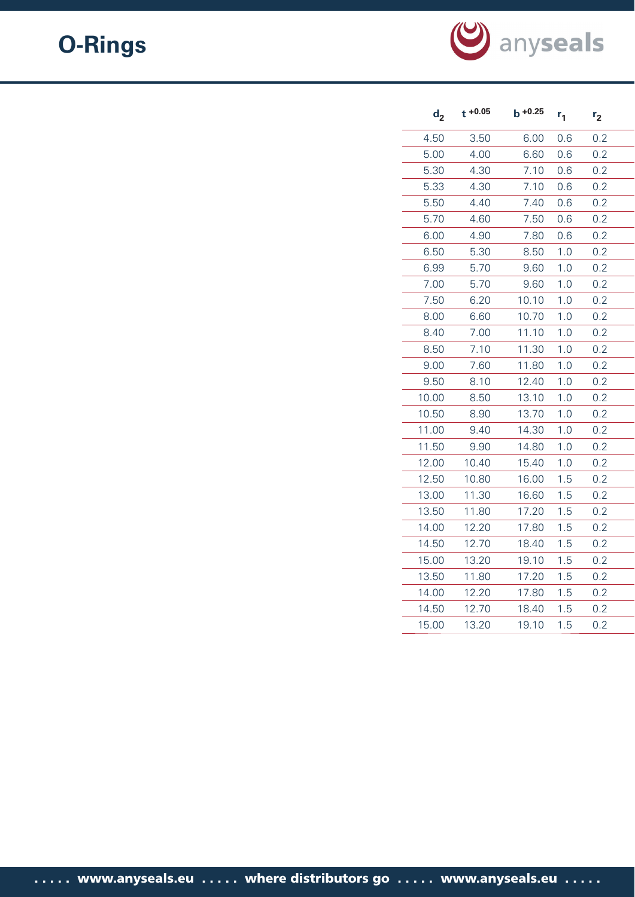

| d <sub>2</sub> | $t + 0.05$ | $b + 0.25$ | $r_{1}$ | r <sub>2</sub> |  |
|----------------|------------|------------|---------|----------------|--|
| 4.50           | 3.50       | 6.00       | 0.6     | 0.2            |  |
| 5.00           | 4.00       | 6.60       | 0.6     | 0.2            |  |
| 5.30           | 4.30       | 7.10       | 0.6     | 0.2            |  |
| 5.33           | 4.30       | 7.10       | 0.6     | 0.2            |  |
| 5.50           | 4.40       | 7.40       | 0.6     | 0.2            |  |
| 5.70           | 4.60       | 7.50       | 0.6     | 0.2            |  |
| 6.00           | 4.90       | 7.80       | 0.6     | 0.2            |  |
| 6.50           | 5.30       | 8.50       | 1.0     | 0.2            |  |
| 6.99           | 5.70       | 9.60       | 1.0     | 0.2            |  |
| 7.00           | 5.70       | 9.60       | 1.0     | 0.2            |  |
| 7.50           | 6.20       | 10.10      | 1.0     | 0.2            |  |
| 8.00           | 6.60       | 10.70      | 1.0     | 0.2            |  |
| 8.40           | 7.00       | 11.10      | 1.0     | 0.2            |  |
| 8.50           | 7.10       | 11.30      | 1.0     | 0.2            |  |
| 9.00           | 7.60       | 11.80      | 1.0     | 0.2            |  |
| 9.50           | 8.10       | 12.40      | 1.0     | 0.2            |  |
| 10.00          | 8.50       | 13.10      | 1.0     | 0.2            |  |
| 10.50          | 8.90       | 13.70      | 1.0     | 0.2            |  |
| 11.00          | 9.40       | 14.30      | 1.0     | 0.2            |  |
| 11.50          | 9.90       | 14.80      | 1.0     | 0.2            |  |
| 12.00          | 10.40      | 15.40      | 1.0     | 0.2            |  |
| 12.50          | 10.80      | 16.00      | 1.5     | 0.2            |  |
| 13.00          | 11.30      | 16.60      | 1.5     | 0.2            |  |
| 13.50          | 11.80      | 17.20      | 1.5     | 0.2            |  |
| 14.00          | 12.20      | 17.80      | 1.5     | 0.2            |  |
| 14.50          | 12.70      | 18.40      | 1.5     | 0.2            |  |
| 15.00          | 13.20      | 19.10      | 1.5     | 0.2            |  |
| 13.50          | 11.80      | 17.20      | 1.5     | 0.2            |  |
| 14.00          | 12.20      | 17.80      | 1.5     | 0.2            |  |
| 14.50          | 12.70      | 18.40      | 1.5     | 0.2            |  |
| 15.00          | 13.20      | 19.10      | 1.5     | 0.2            |  |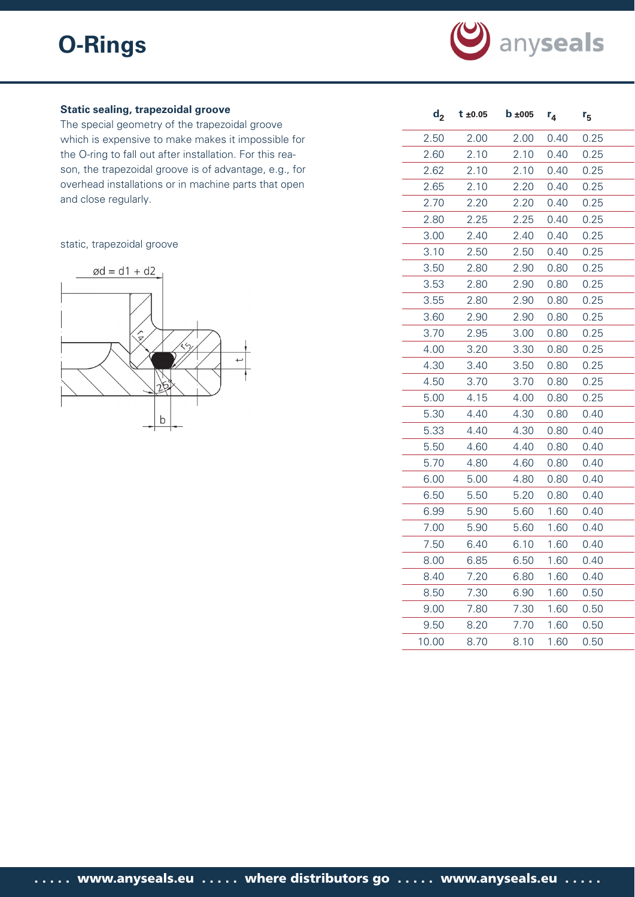

# **Static sealing, trapezoidal groove**

The special geometry of the trapezoidal groove which is expensive to make makes it impossible for the O-ring to fall out after installation. For this reason, the trapezoidal groove is of advantage, e.g., for overhead installations or in machine parts that open and close regularly.

# static, trapezoidal groove



| d <sub>2</sub> | $t \pm 0.05$ | $b \pm 005$ | $r_4$ | $r_{5}$ |
|----------------|--------------|-------------|-------|---------|
| 2.50           | 2.00         | 2.00        | 0.40  | 0.25    |
| 2.60           | 2.10         | 2.10        | 0.40  | 0.25    |
| 2.62           | 2.10         | 2.10        | 0.40  | 0.25    |
| 2.65           | 2.10         | 2.20        | 0.40  | 0.25    |
| 2.70           | 2.20         | 2.20        | 0.40  | 0.25    |
| 2.80           | 2.25         | 2.25        | 0.40  | 0.25    |
| 3.00           | 2.40         | 2.40        | 0.40  | 0.25    |
| 3.10           | 2.50         | 2.50        | 0.40  | 0.25    |
| 3.50           | 2.80         | 2.90        | 0.80  | 0.25    |
| 3.53           | 2.80         | 2.90        | 0.80  | 0.25    |
| 3.55           | 2.80         | 2.90        | 0.80  | 0.25    |
| 3.60           | 2.90         | 2.90        | 0.80  | 0.25    |
| 3.70           | 2.95         | 3.00        | 0.80  | 0.25    |
| 4.00           | 3.20         | 3.30        | 0.80  | 0.25    |
| 4.30           | 3.40         | 3.50        | 0.80  | 0.25    |
| 4.50           | 3.70         | 3.70        | 0.80  | 0.25    |
| 5.00           | 4.15         | 4.00        | 0.80  | 0.25    |
| 5.30           | 4.40         | 4.30        | 0.80  | 0.40    |
| 5.33           | 4.40         | 4.30        | 0.80  | 0.40    |
| 5.50           | 4.60         | 4.40        | 0.80  | 0.40    |
| 5.70           | 4.80         | 4.60        | 0.80  | 0.40    |
| 6.00           | 5.00         | 4.80        | 0.80  | 0.40    |
| 6.50           | 5.50         | 5.20        | 0.80  | 0.40    |
| 6.99           | 5.90         | 5.60        | 1.60  | 0.40    |
| 7.00           | 5.90         | 5.60        | 1.60  | 0.40    |
| 7.50           | 6.40         | 6.10        | 1.60  | 0.40    |
| 8.00           | 6.85         | 6.50        | 1.60  | 0.40    |
| 8.40           | 7.20         | 6.80        | 1.60  | 0.40    |
| 8.50           | 7.30         | 6.90        | 1.60  | 0.50    |
| 9.00           | 7.80         | 7.30        | 1.60  | 0.50    |
| 9.50           | 8.20         | 7.70        | 1.60  | 0.50    |
| 10.00          | 8.70         | 8.10        | 1.60  | 0.50    |
|                |              |             |       |         |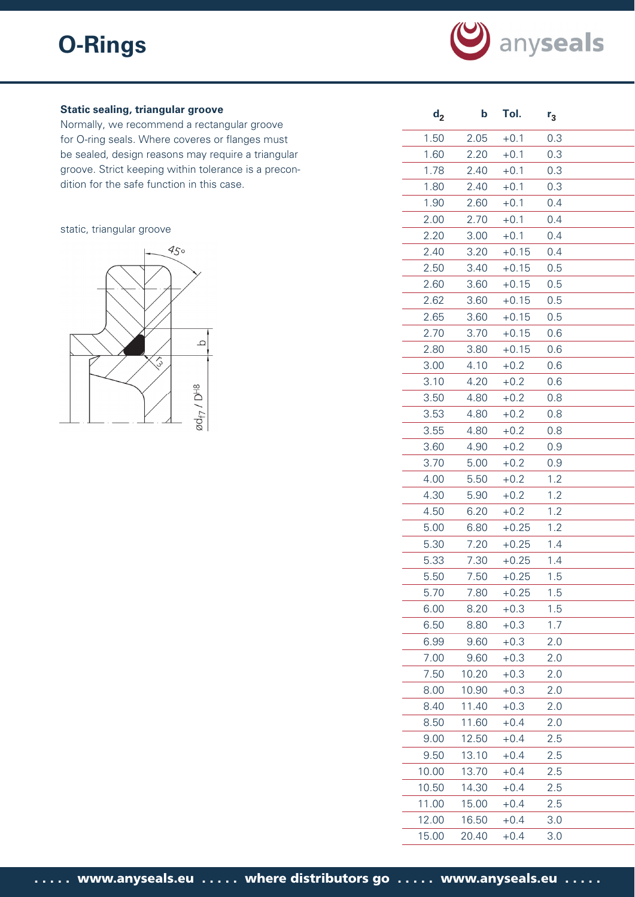

# **Static sealing, triangular groove**

Normally, we recommend a rectangular groove for O-ring seals. Where coveres or flanges must be sealed, design reasons may require a triangular groove. Strict keeping within tolerance is a precondition for the safe function in this case.

#### static, triangular groove



| d <sub>2</sub> | þ     | Tol.    | $r_3$ |
|----------------|-------|---------|-------|
| 1.50           | 2.05  | $+0.1$  | 0.3   |
| 1.60           | 2.20  | $+0.1$  | 0.3   |
| 1.78           | 2.40  | $+0.1$  | 0.3   |
| 1.80           | 2.40  | $+0.1$  | 0.3   |
| 1.90           | 2.60  | $+0.1$  | 0.4   |
| 2.00           | 2.70  | $+0.1$  | 0.4   |
| 2.20           | 3.00  | $+0.1$  | 0.4   |
| 2.40           | 3.20  | $+0.15$ | 0.4   |
| 2.50           | 3.40  | $+0.15$ | 0.5   |
| 2.60           | 3.60  | $+0.15$ | 0.5   |
| 2.62           | 3.60  | $+0.15$ | 0.5   |
| 2.65           | 3.60  | $+0.15$ | 0.5   |
| 2.70           | 3.70  | $+0.15$ | 0.6   |
| 2.80           | 3.80  | $+0.15$ | 0.6   |
| 3.00           | 4.10  | $+0.2$  | 0.6   |
| 3.10           | 4.20  | $+0.2$  | 0.6   |
| 3.50           | 4.80  | $+0.2$  | 0.8   |
| 3.53           | 4.80  | $+0.2$  | 0.8   |
| 3.55           | 4.80  | $+0.2$  | 0.8   |
| 3.60           | 4.90  | $+0.2$  | 0.9   |
| 3.70           | 5.00  | $+0.2$  | 0.9   |
| 4.00           | 5.50  | $+0.2$  | 1.2   |
| 4.30           | 5.90  | $+0.2$  | 1.2   |
| 4.50           | 6.20  | $+0.2$  | 1.2   |
| 5.00           | 6.80  | $+0.25$ | 1.2   |
| 5.30           | 7.20  | $+0.25$ | 1.4   |
| 5.33           | 7.30  | $+0.25$ | 1.4   |
| 5.50           | 7.50  | $+0.25$ | 1.5   |
| 5.70           | 7.80  | $+0.25$ | 1.5   |
| 6.00           | 8.20  | $+0.3$  | 1.5   |
| 6.50           | 8.80  | $+0.3$  | 1.7   |
| 6.99           | 9.60  | $+0.3$  | 2.0   |
| 7.00           | 9.60  | $+0.3$  | 2.0   |
| 7.50           | 10.20 | $+0.3$  | 2.0   |
| 8.00           | 10.90 | $+0.3$  | 2.0   |
| 8.40           | 11.40 | $+0.3$  | 2.0   |
| 8.50           | 11.60 | $+0.4$  | 2.0   |
| 9.00           | 12.50 | $+0.4$  | 2.5   |
| 9.50           | 13.10 | $+0.4$  | 2.5   |
| 10.00          | 13.70 | $+0.4$  | 2.5   |
| 10.50          | 14.30 | $+0.4$  | 2.5   |
| 11.00          | 15.00 | $+0.4$  | 2.5   |
| 12.00          | 16.50 | $+0.4$  | 3.0   |
| 15.00          | 20.40 | $+0.4$  | 3.0   |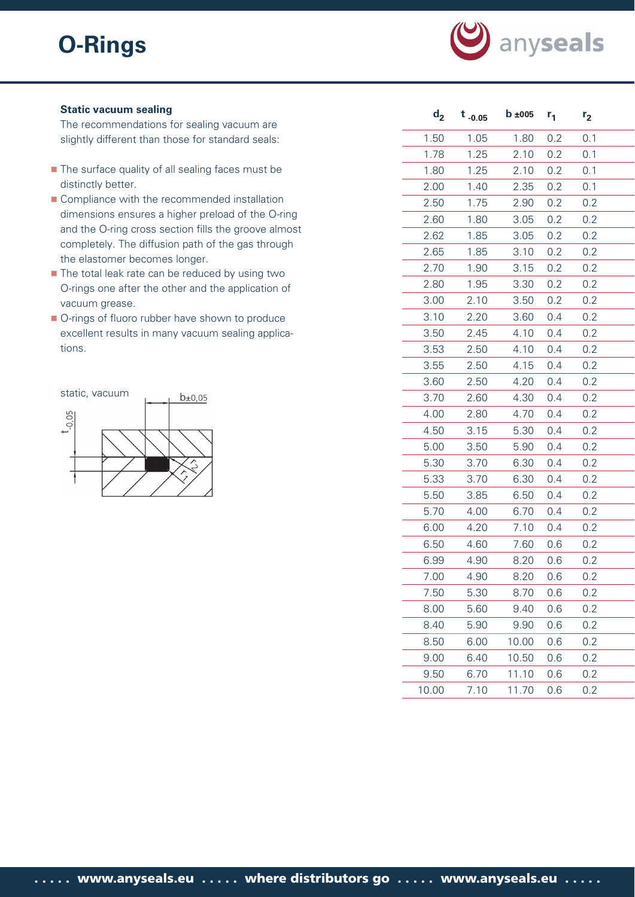

# **Static vacuum sealing**

The recommendations for sealing vacuum are slightly different than those for standard seals:

- The surface quality of all sealing faces must be distinctly better.
- Compliance with the recommended installation dimensions ensures a higher preload of the O-ring and the O-ring cross section fills the groove almost completely. The diffusion path of the gas through the elastomer becomes longer.
- The total leak rate can be reduced by using two O-rings one after the other and the application of vacuum grease.
- O-rings of fluoro rubber have shown to produce excellent results in many vacuum sealing applications.



| $\mathbf{d}_{2}$ | $t_{-0.05}$ | $b \pm 005$ | $r_{1}$ | r <sub>2</sub> |
|------------------|-------------|-------------|---------|----------------|
| 1.50             | 1.05        | 1.80        | 0.2     | 0.1            |
| 1.78             | 1.25        | 2.10        | 0.2     | 0.1            |
| 1.80             | 1.25        | 2.10        | 0.2     | 0.1            |
| 2.00             | 1.40        | 2.35        | 0.2     | 0.1            |
| 2.50             | 1.75        | 2.90        | 0.2     | 0.2            |
| 2.60             | 1.80        | 3.05        | 0.2     | 0.2            |
| 2.62             | 1.85        | 3.05        | 0.2     | 0.2            |
| 2.65             | 1.85        | 3.10        | 0.2     | 0.2            |
| 2.70             | 1.90        | 3.15        | 0.2     | 0.2            |
| 2.80             | 1.95        | 3.30        | 0.2     | 0.2            |
| 3.00             | 2.10        | 3.50        | 0.2     | 0.2            |
| 3.10             | 2.20        | 3.60        | 0.4     | 0.2            |
| 3.50             | 2.45        | 4.10        | 0.4     | 0.2            |
| 3.53             | 2.50        | 4.10        | 0.4     | 0.2            |
| 3.55             | 2.50        | 4.15        | 0.4     | 0.2            |
| 3.60             | 2.50        | 4.20        | 0.4     | 0.2            |
| 3.70             | 2.60        | 4.30        | 0.4     | 0.2            |
| 4.00             | 2.80        | 4.70        | 0.4     | 0.2            |
| 4.50             | 3.15        | 5.30        | 0.4     | 0.2            |
| 5.00             | 3.50        | 5.90        | 0.4     | 0.2            |
| 5.30             | 3.70        | 6.30        | 0.4     | 0.2            |
| 5.33             | 3.70        | 6.30        | 0.4     | 0.2            |
| 5.50             | 3.85        | 6.50        | 0.4     | 0.2            |
| 5.70             | 4.00        | 6.70        | 0.4     | 0.2            |
| 6.00             | 4.20        | 7.10        | 0.4     | 0.2            |
| 6.50             | 4.60        | 7.60        | 0.6     | 0.2            |
| 6.99             | 4.90        | 8.20        | 0.6     | 0.2            |
| 7.00             | 4.90        | 8.20        | 0.6     | 0.2            |
| 7.50             | 5.30        | 8.70        | 0.6     | 0.2            |
| 8.00             | 5.60        | 9.40        | 0.6     | 0.2            |
| 8.40             | 5.90        | 9.90        | 0.6     | 0.2            |
| 8.50             | 6.00        | 10.00       | 0.6     | 0.2            |
| 9.00             | 6.40        | 10.50       | 0.6     | 0.2            |
| 9.50             | 6.70        | 11.10       | 0.6     | 0.2            |
| 10.00            | 7.10        | 11.70       | 0.6     | 0.2            |
|                  |             |             |         |                |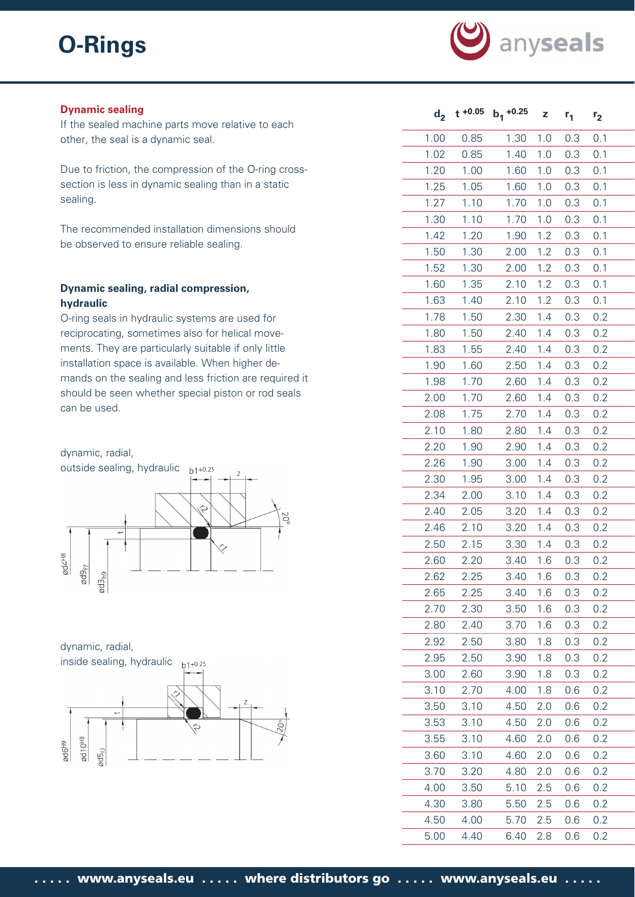

#### **Dynamic sealing**

If the sealed machine parts move relative to each other, the seal is a dynamic seal.

Due to friction, the compression of the O-ring crosssection is less in dynamic sealing than in a static sealing.

The recommended installation dimensions should be observed to ensure reliable sealing.

# **Dynamic sealing, radial compression, hydraulic**

O-ring seals in hydraulic systems are used for reciprocating, sometimes also for helical movements. They are particularly suitable if only little installation space is available. When higher demands on the sealing and less friction are required it should be seen whether special piston or rod seals can be used.



dynamic, radial, inside sealing, hydraulic inside



| $d_2$ | $t + 0.05$ | $b_1 + 0.25$     | z   | $r_{1}$ | r <sub>2</sub> |  |
|-------|------------|------------------|-----|---------|----------------|--|
| 1.00  | 0.85       | 1.30             | 1.0 | 0.3     | 0.1            |  |
| 1.02  | 0.85       | 1.40             | 1.0 | 0.3     | 0.1            |  |
| 1.20  | 1.00       | 1.60             | 1.0 | 0.3     | 0.1            |  |
| 1.25  | 1.05       | 1.60             | 1.0 | 0.3     | 0.1            |  |
| 1.27  | 1.10       | 1.70             | 1.0 | 0.3     | 0.1            |  |
| 1.30  | 1.10       | 1.70             | 1.0 | 0.3     | 0.1            |  |
| 1.42  | 1.20       | 1.90             | 1.2 | 0.3     | 0.1            |  |
| 1.50  | 1.30       | 2.00             | 1.2 | 0.3     | 0.1            |  |
| 1.52  | 1.30       | 2.00             | 1.2 | 0.3     | 0.1            |  |
| 1.60  | 1.35       | 2.10             | 1.2 | 0.3     | 0.1            |  |
| 1.63  | 1.40       | 2.10             | 1.2 | 0.3     | 0.1            |  |
| 1.78  | 1.50       | 2.30             | 1.4 | 0.3     | 0.2            |  |
| 1.80  | 1.50       | 2.40             | 1.4 | 0.3     | 0.2            |  |
| 1.83  | 1.55       | 2.40             | 1.4 | 0.3     | 0.2            |  |
| 1.90  | 1.60       | 2.50             | 1.4 | 0.3     | 0.2            |  |
| 1.98  | 1.70       | 2.60             | 1.4 | 0.3     | 0.2            |  |
| 2.00  | 1.70       | 2.60             | 1.4 | 0.3     | 0.2            |  |
| 2.08  | 1.75       | 2.70             | 1.4 | 0.3     | 0.2            |  |
| 2.10  | 1.80       | 2.80             | 1.4 | 0.3     | 0.2            |  |
| 2.20  | 1.90       | 2.90             | 1.4 | 0.3     | 0.2            |  |
| 2.26  | 1.90       | 3.00             | 1.4 | 0.3     | 0.2            |  |
| 2.30  | 1.95       | 3.00             | 1.4 | 0.3     | 0.2            |  |
| 2.34  | 2.00       | $3.10 \quad 1.4$ |     | 0.3     | 0.2            |  |
| 2.40  | 2.05       | 3.20             | 1.4 | 0.3     | 0.2            |  |
| 2.46  | 2.10       | 3.20             | 1.4 | 0.3     | 0.2            |  |
| 2.50  | 2.15       | 3.30             | 1.4 | 0.3     | 0.2            |  |
| 2.60  | 2.20       | 3.40             | 1.6 | 0.3     | 0.2            |  |
| 2.62  | 2.25       | 3.40             | 1.6 | 0.3     | 0.2            |  |
| 2.65  | 2.25       | 3.40             | 1.6 | 0.3     | 0.2            |  |
| 2.70  | 2.30       | 3.50             | 1.6 | 0.3     | 0.2            |  |
| 2.80  | 2.40       | 3.70             | 1.6 | 0.3     | 0.2            |  |
| 2.92  | 2.50       | 3.80             | 1.8 | 0.3     | 0.2            |  |
| 2.95  | 2.50       | 3.90             | 1.8 | 0.3     | 0.2            |  |
| 3.00  | 2.60       | 3.90             | 1.8 | 0.3     | 0.2            |  |
| 3.10  | 2.70       | 4.00             | 1.8 | 0.6     | 0.2            |  |
| 3.50  | 3.10       | 4.50             | 2.0 | 0.6     | 0.2            |  |
| 3.53  | 3.10       | 4.50             | 2.0 | 0.6     | 0.2            |  |
| 3.55  | 3.10       | 4.60             | 2.0 | 0.6     | 0.2            |  |
| 3.60  | 3.10       | 4.60             | 2.0 | 0.6     | 0.2            |  |
| 3.70  | 3.20       | 4.80             | 2.0 | 0.6     | 0.2            |  |
| 4.00  | 3.50       | 5.10             | 2.5 | 0.6     | 0.2            |  |
| 4.30  | 3.80       | 5.50             | 2.5 | 0.6     | 0.2            |  |
| 4.50  | 4.00       | 5.70             | 2.5 | 0.6     | 0.2            |  |
| 5.00  | 4.40       | 6.40             | 2.8 | 0.6     | 0.2            |  |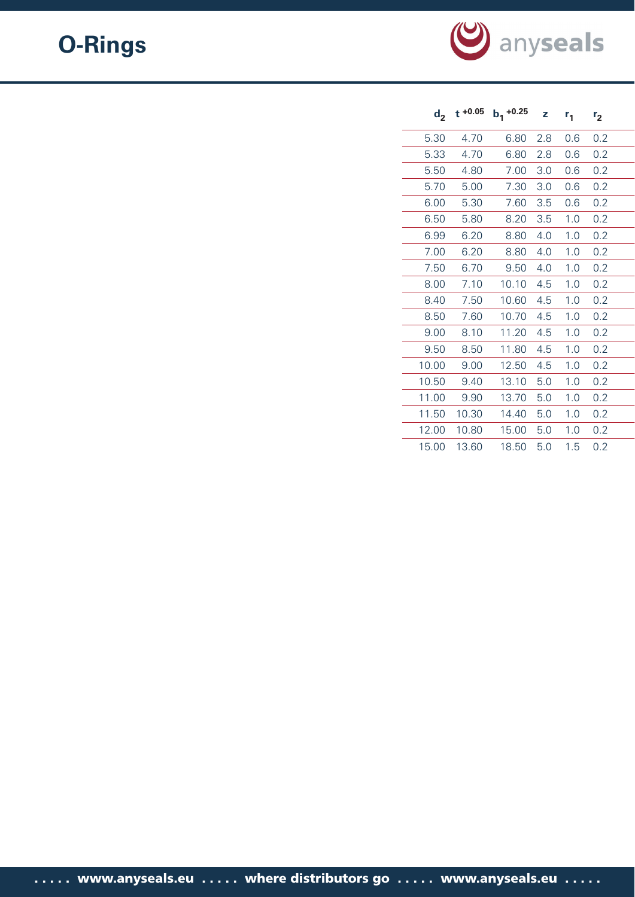

| $d_2$ |       | t +0.05 $b_1$ +0.25 | z   | $r_{1}$ | r <sub>2</sub> |  |
|-------|-------|---------------------|-----|---------|----------------|--|
| 5.30  | 4.70  | 6.80                | 2.8 | 0.6     | 0.2            |  |
| 5.33  | 4.70  | 6.80                | 2.8 | 0.6     | 0.2            |  |
| 5.50  | 4.80  | 7.00                | 3.0 | 0.6     | 0.2            |  |
| 5.70  | 5.00  | 7.30                | 3.0 | 0.6     | 0.2            |  |
| 6.00  | 5.30  | 7.60                | 3.5 | 0.6     | 0.2            |  |
| 6.50  | 5.80  | 8.20                | 3.5 | 1.0     | 0.2            |  |
| 6.99  | 6.20  | 8.80                | 4.0 | 1.0     | 0.2            |  |
| 7.00  | 6.20  | 8.80                | 4.0 | 1.0     | 0.2            |  |
| 7.50  | 6.70  | 9.50                | 4.0 | 1.0     | 0.2            |  |
| 8.00  | 7.10  | 10.10               | 4.5 | 1.0     | 0.2            |  |
| 8.40  | 7.50  | 10.60               | 4.5 | 1.0     | 0.2            |  |
| 8.50  | 7.60  | 10.70               | 4.5 | 1.0     | 0.2            |  |
| 9.00  | 8.10  | 11.20               | 4.5 | 1.0     | 0.2            |  |
| 9.50  | 8.50  | 11.80               | 4.5 | 1.0     | 0.2            |  |
| 10.00 | 9.00  | 12.50               | 4.5 | 1.0     | 0.2            |  |
| 10.50 | 9.40  | 13.10               | 5.0 | 1.0     | 0.2            |  |
| 11.00 | 9.90  | 13.70               | 5.0 | 1.0     | 0.2            |  |
| 11.50 | 10.30 | 14.40               | 5.0 | 1.0     | 0.2            |  |
| 12.00 | 10.80 | 15.00               | 5.0 | 1.0     | 0.2            |  |
| 15.00 | 13.60 | 18.50               | 5.0 | 1.5     | 0.2            |  |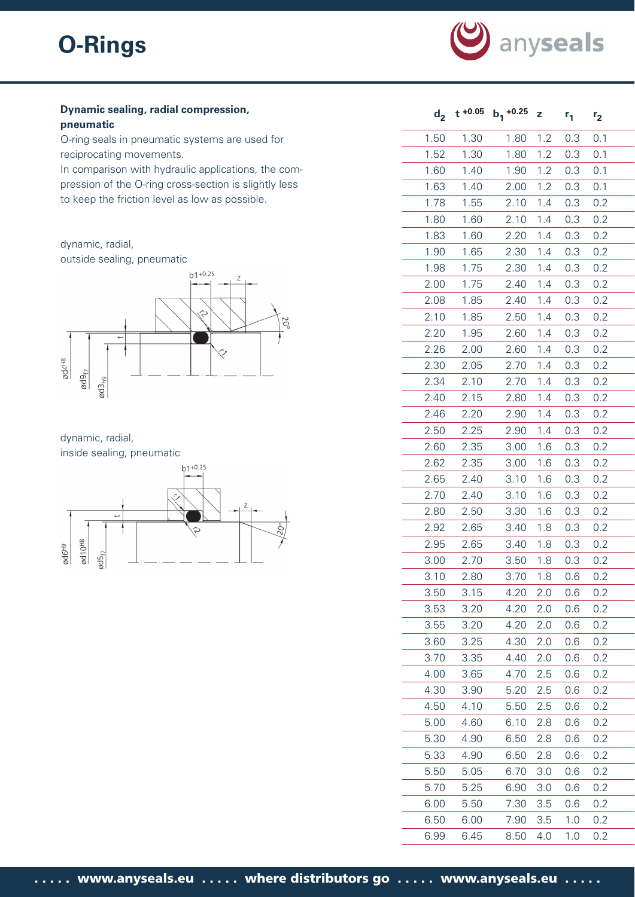

# **Dynamic sealing, radial compression, pneumatic**

O-ring seals in pneumatic systems are used for reciprocating movements.

In comparison with hydraulic applications, the compression of the O-ring cross-section is slightly less to keep the friction level as low as possible.

# dynamic, radial,

outside sealing, pneumatic



dynamic, radial, inside sealing, pneumatic



| $d_{2}$ | $t + 0.05$ | $b_1$ +0.25 | z   | $r_{1}$ | r <sub>2</sub> |
|---------|------------|-------------|-----|---------|----------------|
| 1.50    | 1.30       | 1.80        | 1.2 | 0.3     | 0.1            |
| 1.52    | 1.30       | 1.80        | 1.2 | 0.3     | 0.1            |
| 1.60    | 1.40       | 1.90        | 1.2 | 0.3     | 0.1            |
| 1.63    | 1.40       | 2.00        | 1.2 | 0.3     | 0.1            |
| 1.78    | 1.55       | 2.10        | 1.4 | 0.3     | 0.2            |
| 1.80    | 1.60       | 2.10        | 1.4 | 0.3     | 0.2            |
| 1.83    | 1.60       | 2.20        | 1.4 | 0.3     | 0.2            |
| 1.90    | 1.65       | 2.30        | 1.4 | 0.3     | 0.2            |
| 1.98    | 1.75       | 2.30        | 1.4 | 0.3     | 0.2            |
| 2.00    | 1.75       | 2.40        | 1.4 | 0.3     | 0.2            |
| 2.08    | 1.85       | 2.40        | 1.4 | 0.3     | 0.2            |
| 2.10    | 1.85       | 2.50        | 1.4 | 0.3     | 0.2            |
| 2.20    | 1.95       | 2.60        | 1.4 | 0.3     | 0.2            |
| 2.26    | 2.00       | 2.60        | 1.4 | 0.3     | 0.2            |
| 2.30    | 2.05       | 2.70        | 1.4 | 0.3     | 0.2            |
| 2.34    | 2.10       | 2.70        | 1.4 | 0.3     | 0.2            |
| 2.40    | 2.15       | 2.80        | 1.4 | 0.3     | 0.2            |
| 2.46    | 2.20       | 2.90        | 1.4 | 0.3     | 0.2            |
| 2.50    | 2.25       | 2.90        | 1.4 | 0.3     | 0.2            |
| 2.60    | 2.35       | 3.00        | 1.6 | 0.3     | 0.2            |
| 2.62    | 2.35       | 3.00        | 1.6 | 0.3     | 0.2            |
| 2.65    | 2.40       | 3.10        | 1.6 | 0.3     | 0.2            |
| 2.70    | 2.40       | 3.10        | 1.6 | 0.3     | 0.2            |
| 2.80    | 2.50       | 3.30        | 1.6 | 0.3     | 0.2            |
| 2.92    | 2.65       | 3.40        | 1.8 | 0.3     | 0.2            |
| 2.95    | 2.65       | 3.40        | 1.8 | 0.3     | 0.2            |
| 3.00    | 2.70       | 3.50        | 1.8 | 0.3     | 0.2            |
| 3.10    | 2.80       | 3.70        | 1.8 | 0.6     | 0.2            |
| 3.50    | 3.15       | 4.20        | 2.0 | 0.6     | 0.2            |
| 3.53    | 3.20       | 4.20        | 2.0 | 0.6     | 0.2            |
| 3.55    | 3.20       | 4.20        | 2.0 | 0.6     | 0.2            |
| 3.60    | 3.25       | 4.30        | 2.0 | 0.6     | 0.2            |
| 3.70    | 3.35       | 4.40        | 2.0 | 0.6     | 0.2            |
| 4.00    | 3.65       | 4.70        | 2.5 | 0.6     | 0.2            |
| 4.30    | 3.90       | 5.20        | 2.5 | 0.6     | 0.2            |
| 4.50    | 4.10       | 5.50        | 2.5 | 0.6     | 0.2            |
| 5.00    | 4.60       | 6.10        | 2.8 | 0.6     | 0.2            |
| 5.30    | 4.90       | 6.50        | 2.8 | 0.6     | 0.2            |
| 5.33    | 4.90       | 6.50        | 2.8 | 0.6     | 0.2            |
| 5.50    | 5.05       | 6.70        | 3.0 | 0.6     | 0.2            |
| 5.70    | 5.25       | 6.90        | 3.0 | 0.6     | 0.2            |
| 6.00    | 5.50       | 7.30        | 3.5 | 0.6     | 0.2            |
| 6.50    | 6.00       | 7.90        | 3.5 | 1.0     | 0.2            |
| 6.99    | 6.45       | 8.50        | 4.0 | 1.0     | 0.2            |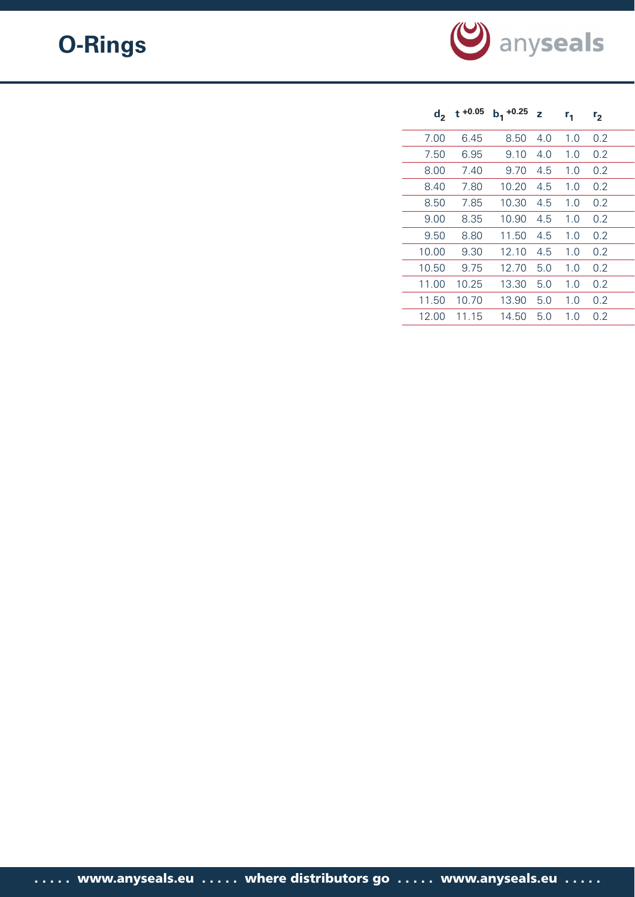

| $d_{2}$ | $t + 0.05$ | $b_1 + 0.25$ | z   | r <sub>1</sub> | r <sub>2</sub> |  |
|---------|------------|--------------|-----|----------------|----------------|--|
| 7.00    | 6.45       | 8.50         | 4.0 | 1.0            | 0.2            |  |
| 7.50    | 6.95       | 9.10         | 4.0 | 1.0            | 0.2            |  |
| 8.00    | 7.40       | 9.70         | 4.5 | 1.0            | 0.2            |  |
| 8.40    | 7.80       | 10.20        | 4.5 | 1.0            | 0.2            |  |
| 8.50    | 7.85       | 10.30        | 4.5 | 1.0            | 0.2            |  |
| 9.00    | 8.35       | 10.90        | 4.5 | 1.0            | 0.2            |  |
| 9.50    | 8.80       | 11.50        | 4.5 | 1.0            | 0.2            |  |
| 10.00   | 9.30       | 12.10        | 4.5 | 1.0            | 0.2            |  |
| 10.50   | 9.75       | 12.70        | 5.0 | 1.0            | 0.2            |  |
| 11.00   | 10.25      | 13.30        | 5.0 | 1.0            | 0.2            |  |
| 11.50   | 10.70      | 13.90        | 5.0 | 1.0            | 0.2            |  |
| 12.00   | 11.15      | 14.50        | 5.0 | 1.0            | 0.2            |  |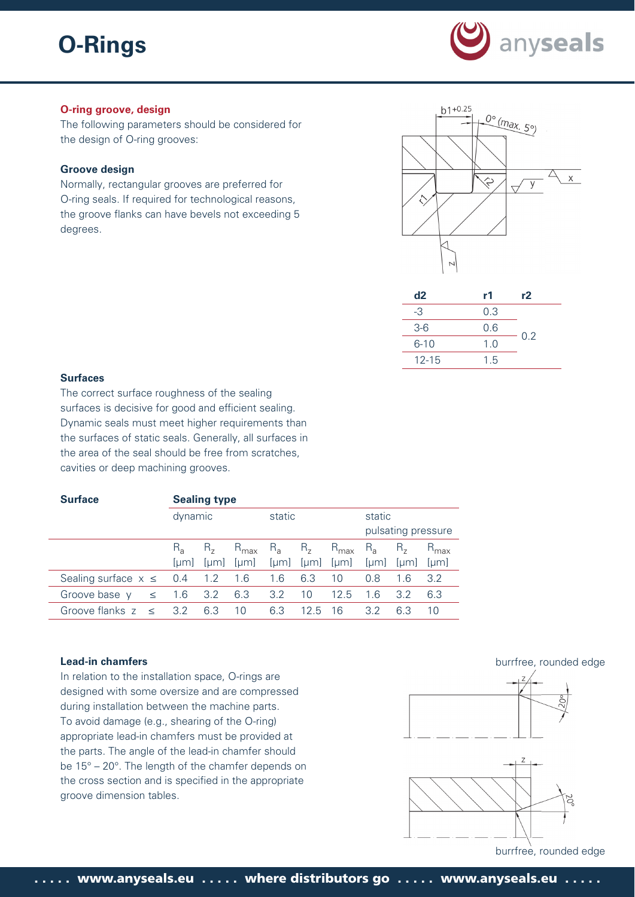

# **O-ring groove, design**

The following parameters should be considered for the design of O-ring grooves:

#### **Groove design**

Normally, rectangular grooves are preferred for O-ring seals. If required for technological reasons, the groove flanks can have bevels not exceeding 5 degrees.



| d2        | r1  | r2  |
|-----------|-----|-----|
| -3        | 0.3 |     |
| $3-6$     | 0.6 |     |
| $6 - 10$  | 1.0 | 0.2 |
| $12 - 15$ | 1.5 |     |

# **Surfaces**

The correct surface roughness of the sealing surfaces is decisive for good and efficient sealing. Dynamic seals must meet higher requirements than the surfaces of static seals. Generally, all surfaces in the area of the seal should be free from scratches, cavities or deep machining grooves.

| <b>Surface</b>               | <b>Sealing type</b> |                    |                         |                 |                 |                          |                |                   |                                 |  |
|------------------------------|---------------------|--------------------|-------------------------|-----------------|-----------------|--------------------------|----------------|-------------------|---------------------------------|--|
|                              | dynamic             |                    | static                  |                 |                 | static                   |                |                   |                                 |  |
|                              |                     |                    |                         |                 |                 |                          |                |                   | pulsating pressure              |  |
|                              | $R_{\rm a}$<br> µm  | $R_{\rm z}$<br> µm | $R_{\text{max}}$<br> µm | $R_{a}$<br>[µm] | $R_{7}$<br>[µm] | $R_{\text{max}}$<br>[µm] | $R_{a}$<br> µm | $H_{\tau}$<br> µm | $R_{\text{max}}$<br><u>luml</u> |  |
| Sealing surface $x \leq 0.4$ |                     | 1.2                | 1.6                     | 1.6             | 6.3             | 10                       | 0.8            | 1.6               | 3.2                             |  |
| Groove base y<br>$\leq$      | 1.6                 | 3.2                | 6.3                     | 3.2             | 10              | 125                      | 1.6            | 3.2               | 6.3                             |  |
| Groove flanks $z \leq$       | 3.2                 | 6.3                | 10                      | 6.3             | 12.5            | 16                       | 3.2            | 6.3               | 10                              |  |

# **Lead-in chamfers**

In relation to the installation space, O-rings are designed with some oversize and are compressed during installation between the machine parts. To avoid damage (e.g., shearing of the O-ring) appropriate lead-in chamfers must be provided at the parts. The angle of the lead-in chamfer should be 15° – 20°. The length of the chamfer depends on the cross section and is specified in the appropriate groove dimension tables.







burrfree, rounded edge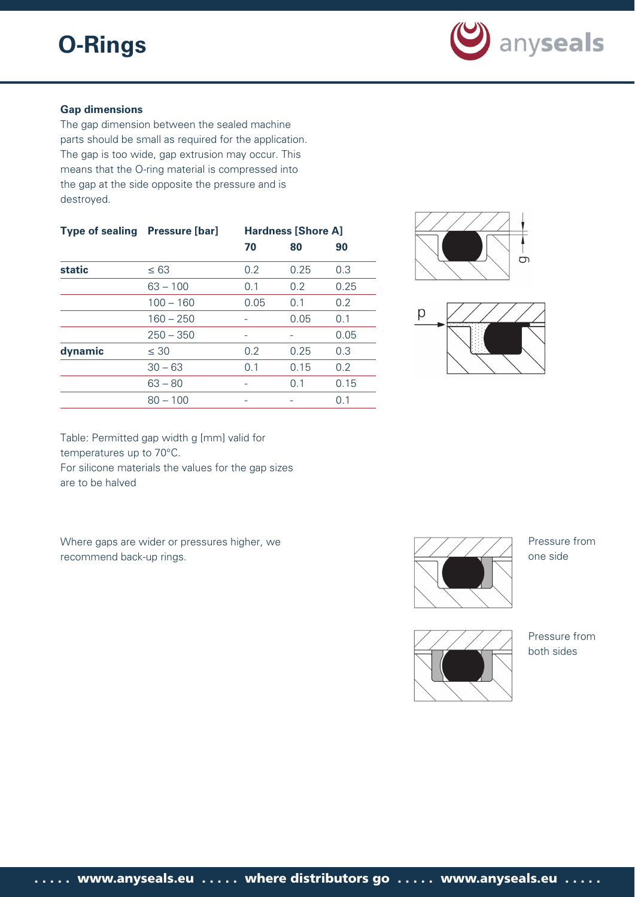

# **Gap dimensions**

The gap dimension between the sealed machine parts should be small as required for the application. The gap is too wide, gap extrusion may occur. This means that the O-ring material is compressed into the gap at the side opposite the pressure and is destroyed.

| <b>Type of sealing</b> | <b>Pressure [bar]</b> | <b>Hardness [Shore A]</b> |      |      |  |  |  |
|------------------------|-----------------------|---------------------------|------|------|--|--|--|
|                        |                       | 70                        | 80   | 90   |  |  |  |
| <b>static</b>          | $\leq 63$             | 0.2                       | 0.25 | 0.3  |  |  |  |
|                        | $63 - 100$            | 0.1                       | 0.2  | 0.25 |  |  |  |
|                        | $100 - 160$           | 0.05                      | 0.1  | 0.2  |  |  |  |
|                        | $160 - 250$           |                           | 0.05 | 0.1  |  |  |  |
|                        | $250 - 350$           |                           |      | 0.05 |  |  |  |
| dynamic                | $\leq 30$             | 0.2                       | 0.25 | 0.3  |  |  |  |
|                        | $30 - 63$             | 0.1                       | 0.15 | 0.2  |  |  |  |
|                        | $63 - 80$             |                           | 0.1  | 0.15 |  |  |  |
|                        | $80 - 100$            |                           |      | 0.1  |  |  |  |
|                        |                       |                           |      |      |  |  |  |





Table: Permitted gap width g [mm] valid for temperatures up to 70°C. For silicone materials the values for the gap sizes

are to be halved

Where gaps are wider or pressures higher, we recommend back-up rings.





Pressure from one side

Pressure from both sides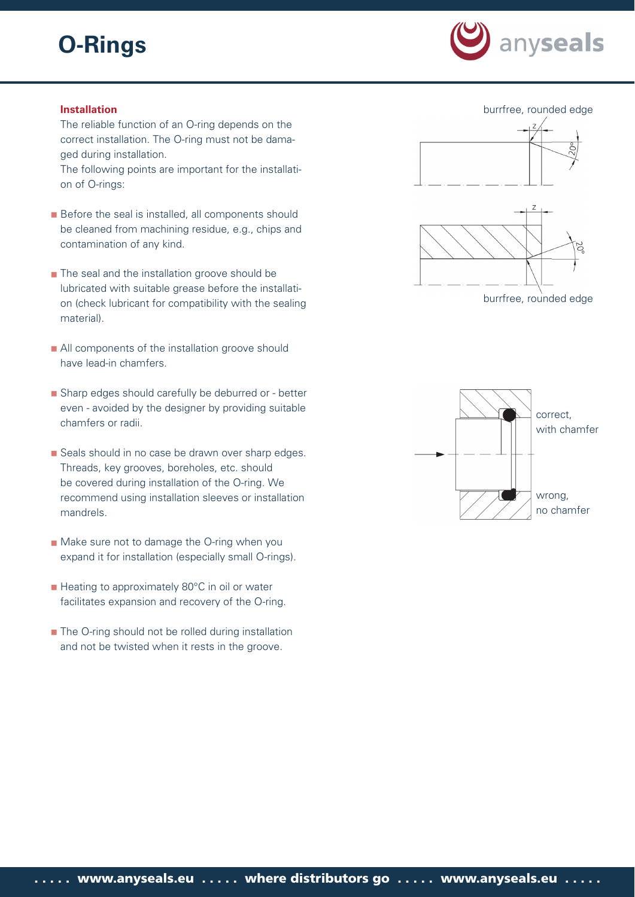

# **Installation**

The reliable function of an O-ring depends on the correct installation. The O-ring must not be damaged during installation.

The following points are important for the installation of O-rings:

- **Before the seal is installed, all components should** be cleaned from machining residue, e.g., chips and contamination of any kind.
- **The seal and the installation groove should be** lubricated with suitable grease before the installation (check lubricant for compatibility with the sealing material).
- All components of the installation groove should have lead-in chamfers.
- Sharp edges should carefully be deburred or better even - avoided by the designer by providing suitable chamfers or radii.
- Seals should in no case be drawn over sharp edges. Threads, key grooves, boreholes, etc. should be covered during installation of the O-ring. We recommend using installation sleeves or installation mandrels.
- Make sure not to damage the O-ring when you expand it for installation (especially small O-rings).
- Heating to approximately 80°C in oil or water facilitates expansion and recovery of the O-ring.
- The O-ring should not be rolled during installation and not be twisted when it rests in the groove.





burrfree, rounded edge